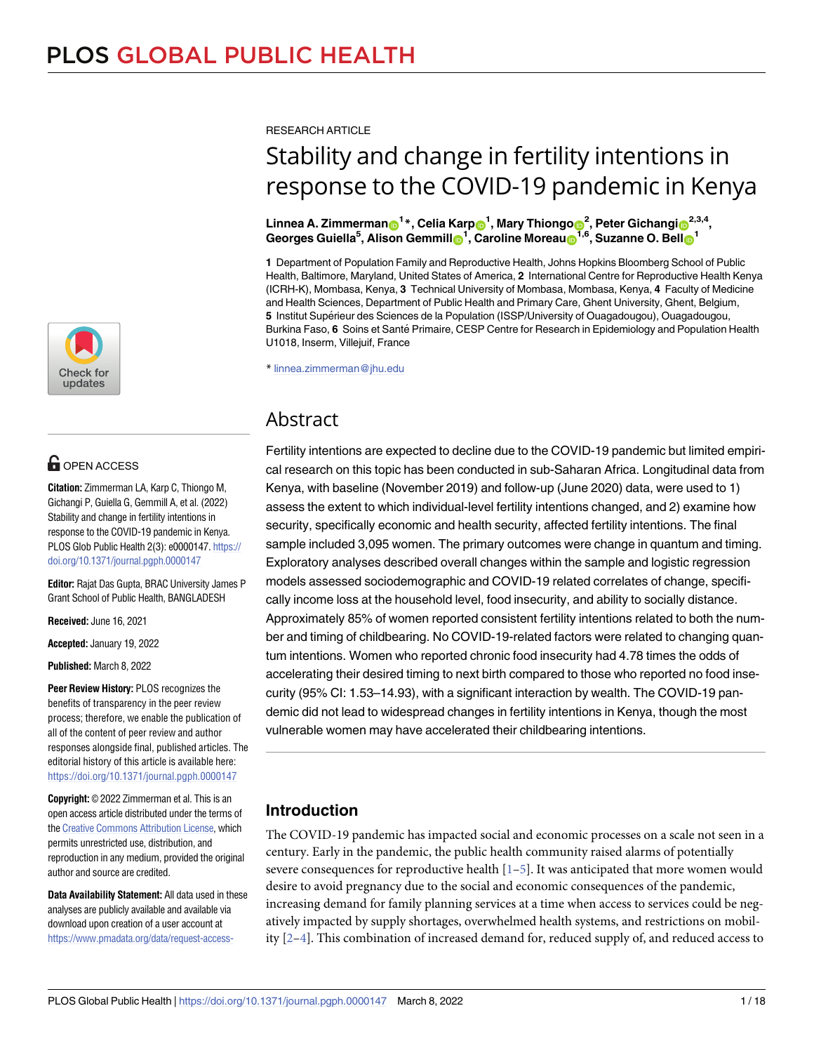

# **OPEN ACCESS**

**Citation:** Zimmerman LA, Karp C, Thiongo M, Gichangi P, Guiella G, Gemmill A, et al. (2022) Stability and change in fertility intentions in response to the COVID-19 pandemic in Kenya. PLOS Glob Public Health 2(3): e0000147. [https://](https://doi.org/10.1371/journal.pgph.0000147) [doi.org/10.1371/journal.pgph.0000147](https://doi.org/10.1371/journal.pgph.0000147)

**Editor:** Rajat Das Gupta, BRAC University James P Grant School of Public Health, BANGLADESH

**Received:** June 16, 2021

**Accepted:** January 19, 2022

**Published:** March 8, 2022

**Peer Review History:** PLOS recognizes the benefits of transparency in the peer review process; therefore, we enable the publication of all of the content of peer review and author responses alongside final, published articles. The editorial history of this article is available here: <https://doi.org/10.1371/journal.pgph.0000147>

**Copyright:** © 2022 Zimmerman et al. This is an open access article distributed under the terms of the Creative [Commons](http://creativecommons.org/licenses/by/4.0/) Attribution License, which permits unrestricted use, distribution, and reproduction in any medium, provided the original author and source are credited.

**Data Availability Statement:** All data used in these analyses are publicly available and available via download upon creation of a user account at [https://www.pmadata.org/data/request-access-](https://www.pmadata.org/data/request-access-datasets) <span id="page-0-0"></span>RESEARCH ARTICLE

# Stability and change in fertility intentions in response to the COVID-19 pandemic in Kenya

 $\mathbf{L}$ innea A. Zimmerman $\mathbf{O}^{1\,*}$ , Celia Karp $\mathbf{O}^{1}$ , Mary Thiongo $\mathbf{O}^{2}$ , Peter Gichangi $\mathbf{O}^{2,3,4},$  $\blacksquare$ Georges Guiella<sup>5</sup>, Alison Gemmill $\blacksquare$ <sup>1</sup>, Caroline Moreau $\blacksquare$ <sup>1,6</sup>, Suzanne O. Bell $\blacksquare$ <sup>1</sup>

**1** Department of Population Family and Reproductive Health, Johns Hopkins Bloomberg School of Public Health, Baltimore, Maryland, United States of America, **2** International Centre for Reproductive Health Kenya (ICRH-K), Mombasa, Kenya, **3** Technical University of Mombasa, Mombasa, Kenya, **4** Faculty of Medicine and Health Sciences, Department of Public Health and Primary Care, Ghent University, Ghent, Belgium, **5** Institut Supérieur des Sciences de la Population (ISSP/University of Ouagadougou), Ouagadougou, Burkina Faso, 6 Soins et Santé Primaire, CESP Centre for Research in Epidemiology and Population Health U1018, Inserm, Villejuif, France

\* linnea.zimmerman@jhu.edu

# Abstract

Fertility intentions are expected to decline due to the COVID-19 pandemic but limited empirical research on this topic has been conducted in sub-Saharan Africa. Longitudinal data from Kenya, with baseline (November 2019) and follow-up (June 2020) data, were used to 1) assess the extent to which individual-level fertility intentions changed, and 2) examine how security, specifically economic and health security, affected fertility intentions. The final sample included 3,095 women. The primary outcomes were change in quantum and timing. Exploratory analyses described overall changes within the sample and logistic regression models assessed sociodemographic and COVID-19 related correlates of change, specifically income loss at the household level, food insecurity, and ability to socially distance. Approximately 85% of women reported consistent fertility intentions related to both the number and timing of childbearing. No COVID-19-related factors were related to changing quantum intentions. Women who reported chronic food insecurity had 4.78 times the odds of accelerating their desired timing to next birth compared to those who reported no food insecurity (95% CI: 1.53–14.93), with a significant interaction by wealth. The COVID-19 pandemic did not lead to widespread changes in fertility intentions in Kenya, though the most vulnerable women may have accelerated their childbearing intentions.

# **Introduction**

The COVID-19 pandemic has impacted social and economic processes on a scale not seen in a century. Early in the pandemic, the public health community raised alarms of potentially severe consequences for reproductive health  $[1-5]$  $[1-5]$ . It was anticipated that more women would desire to avoid pregnancy due to the social and economic consequences of the pandemic, increasing demand for family planning services at a time when access to services could be negatively impacted by supply shortages, overwhelmed health systems, and restrictions on mobility [[2–4\]](#page-15-0). This combination of increased demand for, reduced supply of, and reduced access to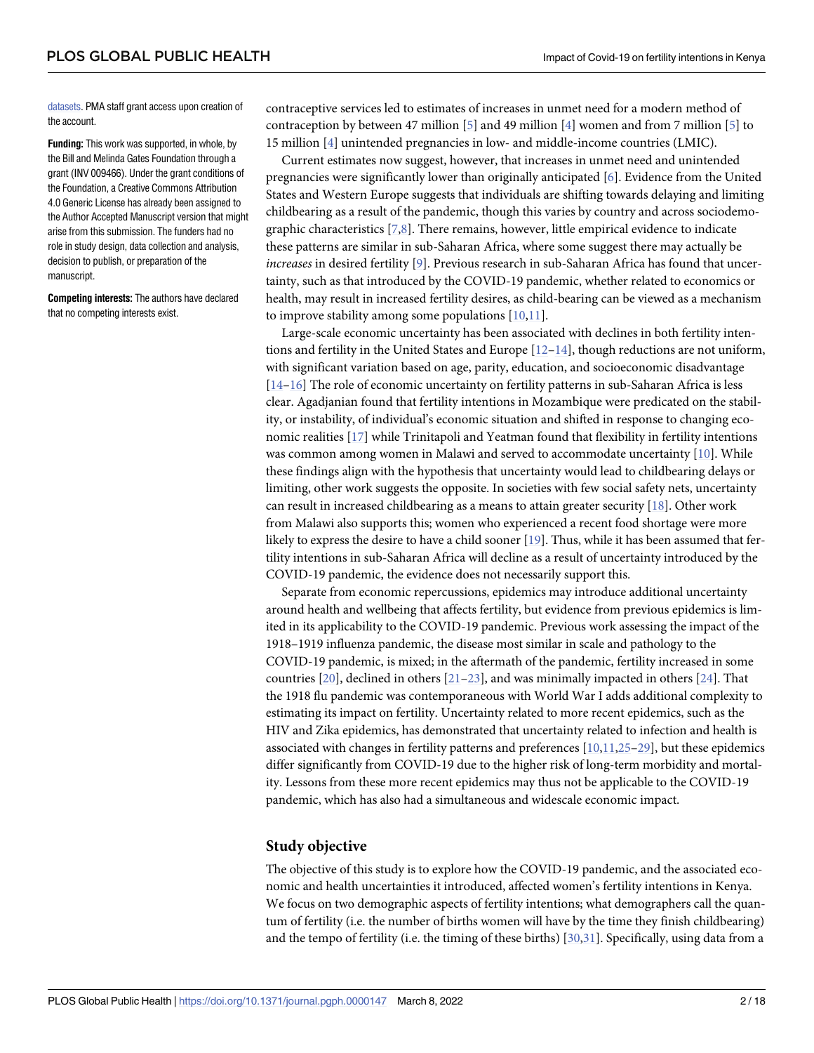<span id="page-1-0"></span>[datasets.](https://www.pmadata.org/data/request-access-datasets) PMA staff grant access upon creation of the account.

**Funding:** This work was supported, in whole, by the Bill and Melinda Gates Foundation through a grant (INV 009466). Under the grant conditions of the Foundation, a Creative Commons Attribution 4.0 Generic License has already been assigned to the Author Accepted Manuscript version that might arise from this submission. The funders had no role in study design, data collection and analysis, decision to publish, or preparation of the manuscript.

**Competing interests:** The authors have declared that no competing interests exist.

contraceptive services led to estimates of increases in unmet need for a modern method of contraception by between 47 million [\[5](#page-15-0)] and 49 million [\[4](#page-15-0)] women and from 7 million [[5](#page-15-0)] to 15 million [\[4](#page-15-0)] unintended pregnancies in low- and middle-income countries (LMIC).

Current estimates now suggest, however, that increases in unmet need and unintended pregnancies were significantly lower than originally anticipated [\[6\]](#page-15-0). Evidence from the United States and Western Europe suggests that individuals are shifting towards delaying and limiting childbearing as a result of the pandemic, though this varies by country and across sociodemographic characteristics [[7](#page-15-0),[8](#page-15-0)]. There remains, however, little empirical evidence to indicate these patterns are similar in sub-Saharan Africa, where some suggest there may actually be *increases* in desired fertility [\[9](#page-15-0)]. Previous research in sub-Saharan Africa has found that uncertainty, such as that introduced by the COVID-19 pandemic, whether related to economics or health, may result in increased fertility desires, as child-bearing can be viewed as a mechanism to improve stability among some populations [[10](#page-15-0),[11\]](#page-15-0).

Large-scale economic uncertainty has been associated with declines in both fertility intentions and fertility in the United States and Europe  $[12-14]$ , though reductions are not uniform, with significant variation based on age, parity, education, and socioeconomic disadvantage [\[14–16\]](#page-15-0) The role of economic uncertainty on fertility patterns in sub-Saharan Africa is less clear. Agadjanian found that fertility intentions in Mozambique were predicated on the stability, or instability, of individual's economic situation and shifted in response to changing economic realities [\[17\]](#page-15-0) while Trinitapoli and Yeatman found that flexibility in fertility intentions was common among women in Malawi and served to accommodate uncertainty [[10](#page-15-0)]. While these findings align with the hypothesis that uncertainty would lead to childbearing delays or limiting, other work suggests the opposite. In societies with few social safety nets, uncertainty can result in increased childbearing as a means to attain greater security  $[18]$ . Other work from Malawi also supports this; women who experienced a recent food shortage were more likely to express the desire to have a child sooner [\[19\]](#page-15-0). Thus, while it has been assumed that fertility intentions in sub-Saharan Africa will decline as a result of uncertainty introduced by the COVID-19 pandemic, the evidence does not necessarily support this.

Separate from economic repercussions, epidemics may introduce additional uncertainty around health and wellbeing that affects fertility, but evidence from previous epidemics is limited in its applicability to the COVID-19 pandemic. Previous work assessing the impact of the 1918–1919 influenza pandemic, the disease most similar in scale and pathology to the COVID-19 pandemic, is mixed; in the aftermath of the pandemic, fertility increased in some countries  $[20]$  $[20]$  $[20]$ , declined in others  $[21-23]$ , and was minimally impacted in others  $[24]$  $[24]$  $[24]$ . That the 1918 flu pandemic was contemporaneous with World War I adds additional complexity to estimating its impact on fertility. Uncertainty related to more recent epidemics, such as the HIV and Zika epidemics, has demonstrated that uncertainty related to infection and health is associated with changes in fertility patterns and preferences [[10,11,25–](#page-15-0)[29](#page-16-0)], but these epidemics differ significantly from COVID-19 due to the higher risk of long-term morbidity and mortality. Lessons from these more recent epidemics may thus not be applicable to the COVID-19 pandemic, which has also had a simultaneous and widescale economic impact.

### **Study objective**

The objective of this study is to explore how the COVID-19 pandemic, and the associated economic and health uncertainties it introduced, affected women's fertility intentions in Kenya. We focus on two demographic aspects of fertility intentions; what demographers call the quantum of fertility (i.e. the number of births women will have by the time they finish childbearing) and the tempo of fertility (i.e. the timing of these births) [[30](#page-16-0),[31](#page-16-0)]. Specifically, using data from a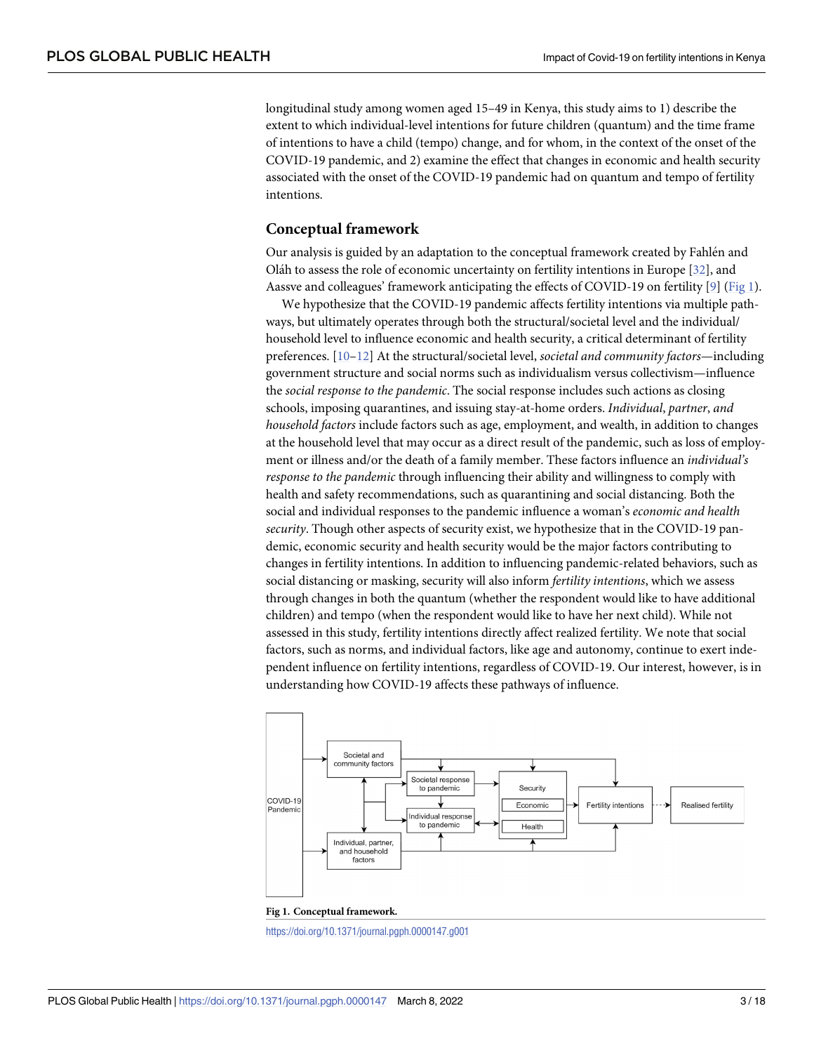<span id="page-2-0"></span>longitudinal study among women aged 15–49 in Kenya, this study aims to 1) describe the extent to which individual-level intentions for future children (quantum) and the time frame of intentions to have a child (tempo) change, and for whom, in the context of the onset of the COVID-19 pandemic, and 2) examine the effect that changes in economic and health security associated with the onset of the COVID-19 pandemic had on quantum and tempo of fertility intentions.

### **Conceptual framework**

Our analysis is guided by an adaptation to the conceptual framework created by Fahlen and Oláh to assess the role of economic uncertainty on fertility intentions in Europe [\[32\]](#page-16-0), and Aassve and colleagues' framework anticipating the effects of COVID-19 on fertility [\[9](#page-15-0)] (Fig 1).

We hypothesize that the COVID-19 pandemic affects fertility intentions via multiple pathways, but ultimately operates through both the structural/societal level and the individual/ household level to influence economic and health security, a critical determinant of fertility preferences. [[10–12\]](#page-15-0) At the structural/societal level, *societal and community factors*—including government structure and social norms such as individualism versus collectivism—influence the *social response to the pandemic*. The social response includes such actions as closing schools, imposing quarantines, and issuing stay-at-home orders. *Individual*, *partner*, *and household factors* include factors such as age, employment, and wealth, in addition to changes at the household level that may occur as a direct result of the pandemic, such as loss of employment or illness and/or the death of a family member. These factors influence an *individual's response to the pandemic* through influencing their ability and willingness to comply with health and safety recommendations, such as quarantining and social distancing. Both the social and individual responses to the pandemic influence a woman's *economic and health security*. Though other aspects of security exist, we hypothesize that in the COVID-19 pandemic, economic security and health security would be the major factors contributing to changes in fertility intentions. In addition to influencing pandemic-related behaviors, such as social distancing or masking, security will also inform *fertility intentions*, which we assess through changes in both the quantum (whether the respondent would like to have additional children) and tempo (when the respondent would like to have her next child). While not assessed in this study, fertility intentions directly affect realized fertility. We note that social factors, such as norms, and individual factors, like age and autonomy, continue to exert independent influence on fertility intentions, regardless of COVID-19. Our interest, however, is in understanding how COVID-19 affects these pathways of influence.





<https://doi.org/10.1371/journal.pgph.0000147.g001>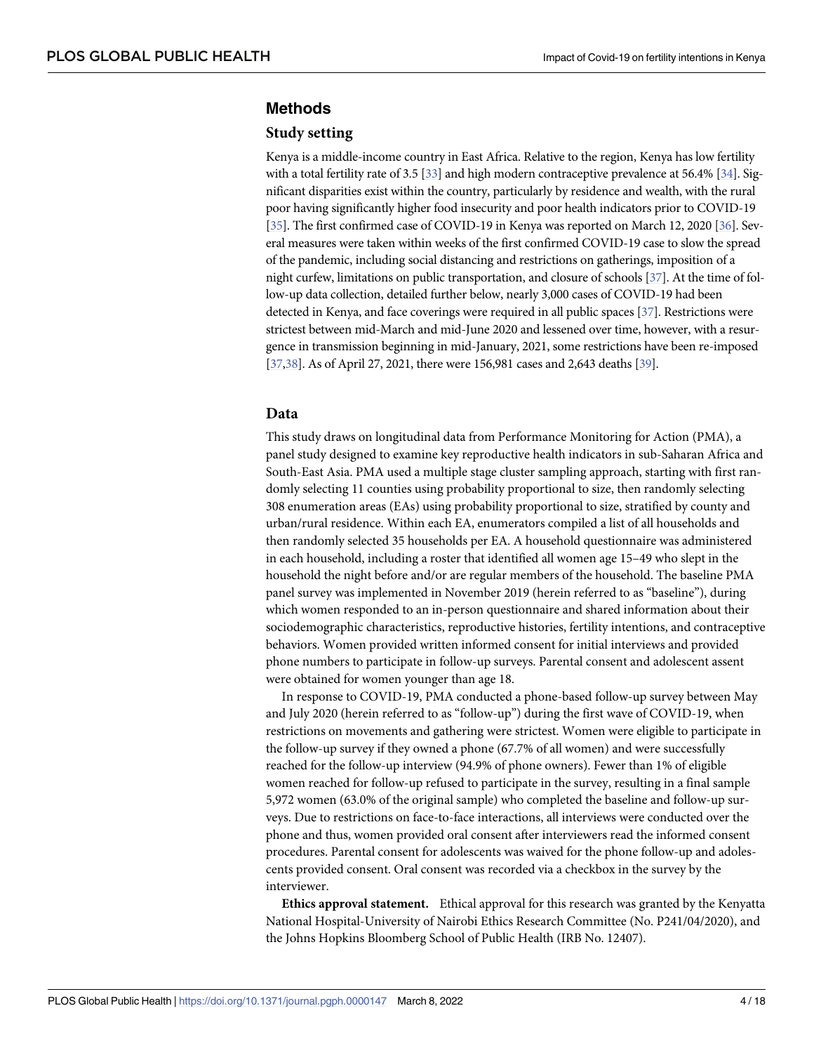## <span id="page-3-0"></span>**Methods**

#### **Study setting**

Kenya is a middle-income country in East Africa. Relative to the region, Kenya has low fertility with a total fertility rate of 3.5 [\[33](#page-16-0)] and high modern contraceptive prevalence at 56.4% [\[34](#page-16-0)]. Significant disparities exist within the country, particularly by residence and wealth, with the rural poor having significantly higher food insecurity and poor health indicators prior to COVID-19 [\[35\]](#page-16-0). The first confirmed case of COVID-19 in Kenya was reported on March 12, 2020 [\[36](#page-16-0)]. Several measures were taken within weeks of the first confirmed COVID-19 case to slow the spread of the pandemic, including social distancing and restrictions on gatherings, imposition of a night curfew, limitations on public transportation, and closure of schools [[37](#page-16-0)]. At the time of follow-up data collection, detailed further below, nearly 3,000 cases of COVID-19 had been detected in Kenya, and face coverings were required in all public spaces [[37\]](#page-16-0). Restrictions were strictest between mid-March and mid-June 2020 and lessened over time, however, with a resurgence in transmission beginning in mid-January, 2021, some restrictions have been re-imposed [\[37,38](#page-16-0)]. As of April 27, 2021, there were 156,981 cases and 2,643 deaths [\[39](#page-16-0)].

#### **Data**

This study draws on longitudinal data from Performance Monitoring for Action (PMA), a panel study designed to examine key reproductive health indicators in sub-Saharan Africa and South-East Asia. PMA used a multiple stage cluster sampling approach, starting with first randomly selecting 11 counties using probability proportional to size, then randomly selecting 308 enumeration areas (EAs) using probability proportional to size, stratified by county and urban/rural residence. Within each EA, enumerators compiled a list of all households and then randomly selected 35 households per EA. A household questionnaire was administered in each household, including a roster that identified all women age 15–49 who slept in the household the night before and/or are regular members of the household. The baseline PMA panel survey was implemented in November 2019 (herein referred to as "baseline"), during which women responded to an in-person questionnaire and shared information about their sociodemographic characteristics, reproductive histories, fertility intentions, and contraceptive behaviors. Women provided written informed consent for initial interviews and provided phone numbers to participate in follow-up surveys. Parental consent and adolescent assent were obtained for women younger than age 18.

In response to COVID-19, PMA conducted a phone-based follow-up survey between May and July 2020 (herein referred to as "follow-up") during the first wave of COVID-19, when restrictions on movements and gathering were strictest. Women were eligible to participate in the follow-up survey if they owned a phone (67.7% of all women) and were successfully reached for the follow-up interview (94.9% of phone owners). Fewer than 1% of eligible women reached for follow-up refused to participate in the survey, resulting in a final sample 5,972 women (63.0% of the original sample) who completed the baseline and follow-up surveys. Due to restrictions on face-to-face interactions, all interviews were conducted over the phone and thus, women provided oral consent after interviewers read the informed consent procedures. Parental consent for adolescents was waived for the phone follow-up and adolescents provided consent. Oral consent was recorded via a checkbox in the survey by the interviewer.

**Ethics approval statement.** Ethical approval for this research was granted by the Kenyatta National Hospital-University of Nairobi Ethics Research Committee (No. P241/04/2020), and the Johns Hopkins Bloomberg School of Public Health (IRB No. 12407).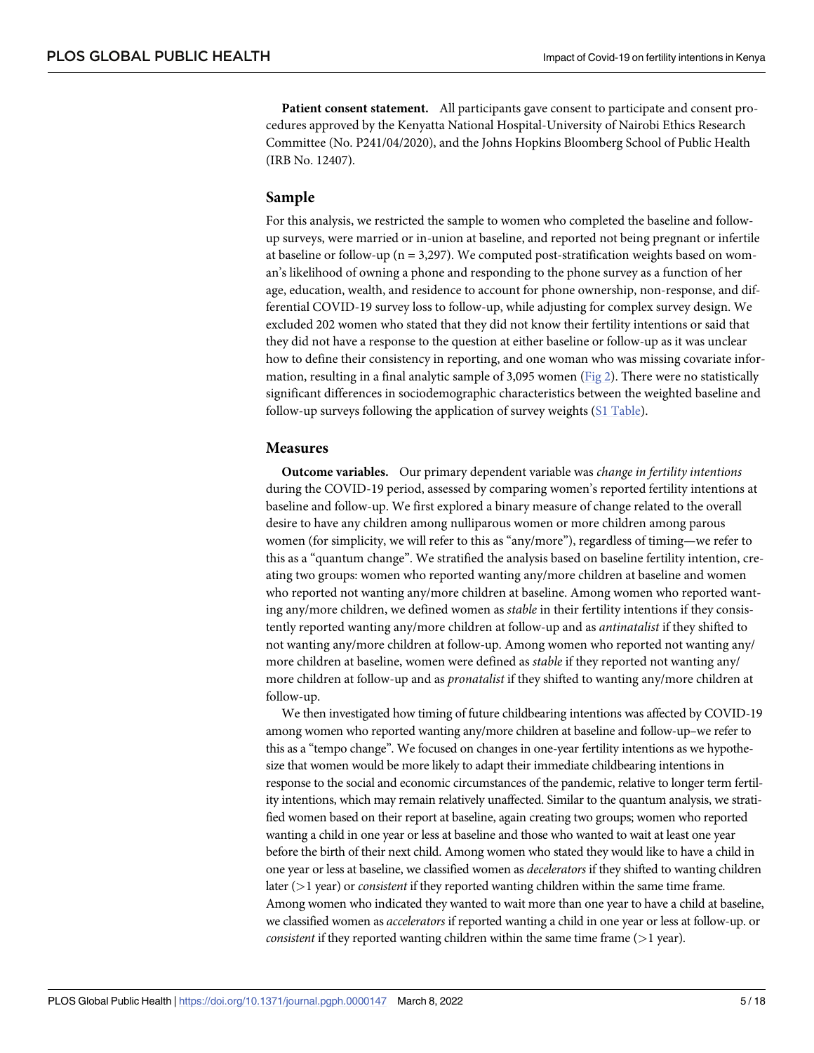<span id="page-4-0"></span>**Patient consent statement.** All participants gave consent to participate and consent procedures approved by the Kenyatta National Hospital-University of Nairobi Ethics Research Committee (No. P241/04/2020), and the Johns Hopkins Bloomberg School of Public Health (IRB No. 12407).

#### **Sample**

For this analysis, we restricted the sample to women who completed the baseline and followup surveys, were married or in-union at baseline, and reported not being pregnant or infertile at baseline or follow-up ( $n = 3,297$ ). We computed post-stratification weights based on woman's likelihood of owning a phone and responding to the phone survey as a function of her age, education, wealth, and residence to account for phone ownership, non-response, and differential COVID-19 survey loss to follow-up, while adjusting for complex survey design. We excluded 202 women who stated that they did not know their fertility intentions or said that they did not have a response to the question at either baseline or follow-up as it was unclear how to define their consistency in reporting, and one woman who was missing covariate information, resulting in a final analytic sample of 3,095 women ([Fig](#page-5-0) 2). There were no statistically significant differences in sociodemographic characteristics between the weighted baseline and follow-up surveys following the application of survey weights (S1 [Table](#page-14-0)).

#### **Measures**

**Outcome variables.** Our primary dependent variable was *change in fertility intentions* during the COVID-19 period, assessed by comparing women's reported fertility intentions at baseline and follow-up. We first explored a binary measure of change related to the overall desire to have any children among nulliparous women or more children among parous women (for simplicity, we will refer to this as "any/more"), regardless of timing—we refer to this as a "quantum change". We stratified the analysis based on baseline fertility intention, creating two groups: women who reported wanting any/more children at baseline and women who reported not wanting any/more children at baseline. Among women who reported wanting any/more children, we defined women as *stable* in their fertility intentions if they consistently reported wanting any/more children at follow-up and as *antinatalist* if they shifted to not wanting any/more children at follow-up. Among women who reported not wanting any/ more children at baseline, women were defined as *stable* if they reported not wanting any/ more children at follow-up and as *pronatalist* if they shifted to wanting any/more children at follow-up.

We then investigated how timing of future childbearing intentions was affected by COVID-19 among women who reported wanting any/more children at baseline and follow-up–we refer to this as a "tempo change". We focused on changes in one-year fertility intentions as we hypothesize that women would be more likely to adapt their immediate childbearing intentions in response to the social and economic circumstances of the pandemic, relative to longer term fertility intentions, which may remain relatively unaffected. Similar to the quantum analysis, we stratified women based on their report at baseline, again creating two groups; women who reported wanting a child in one year or less at baseline and those who wanted to wait at least one year before the birth of their next child. Among women who stated they would like to have a child in one year or less at baseline, we classified women as *decelerators* if they shifted to wanting children later (*>*1 year) or *consistent* if they reported wanting children within the same time frame. Among women who indicated they wanted to wait more than one year to have a child at baseline, we classified women as *accelerators* if reported wanting a child in one year or less at follow-up. or *consistent* if they reported wanting children within the same time frame (*>*1 year).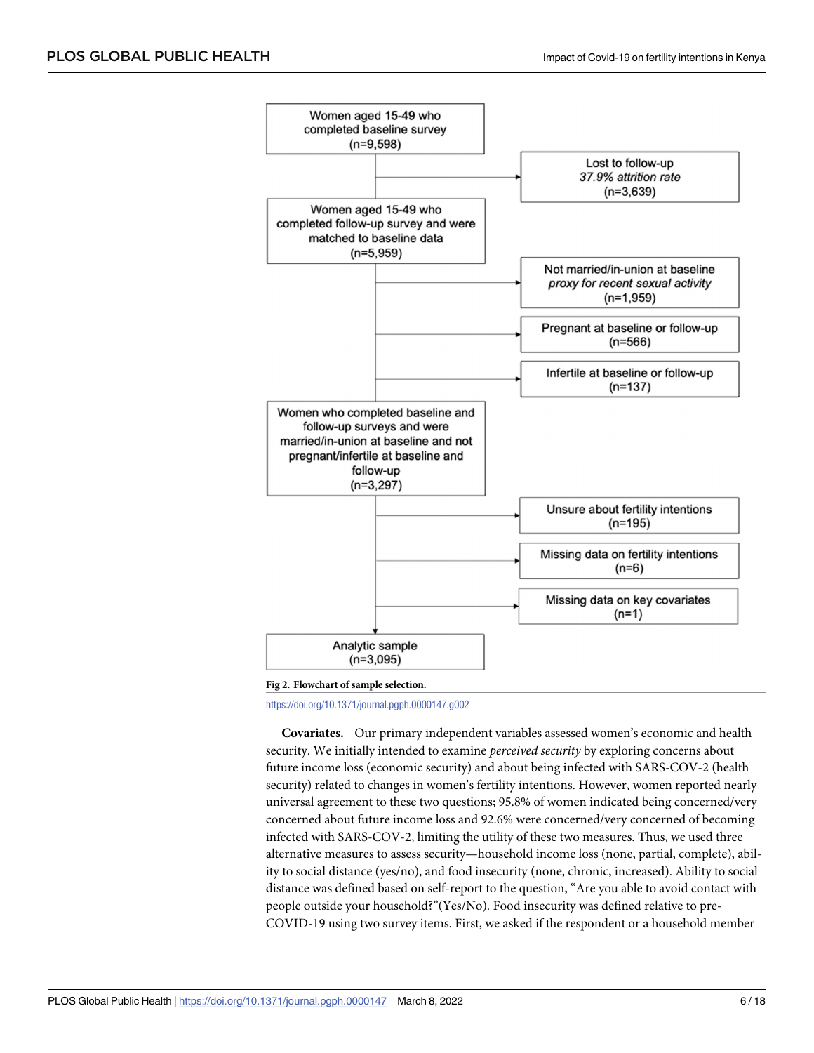<span id="page-5-0"></span>

**[Fig](#page-4-0) 2. Flowchart of sample selection.**

<https://doi.org/10.1371/journal.pgph.0000147.g002>

**Covariates.** Our primary independent variables assessed women's economic and health security. We initially intended to examine *perceived security* by exploring concerns about future income loss (economic security) and about being infected with SARS-COV-2 (health security) related to changes in women's fertility intentions. However, women reported nearly universal agreement to these two questions; 95.8% of women indicated being concerned/very concerned about future income loss and 92.6% were concerned/very concerned of becoming infected with SARS-COV-2, limiting the utility of these two measures. Thus, we used three alternative measures to assess security—household income loss (none, partial, complete), ability to social distance (yes/no), and food insecurity (none, chronic, increased). Ability to social distance was defined based on self-report to the question, "Are you able to avoid contact with people outside your household?"(Yes/No). Food insecurity was defined relative to pre-COVID-19 using two survey items. First, we asked if the respondent or a household member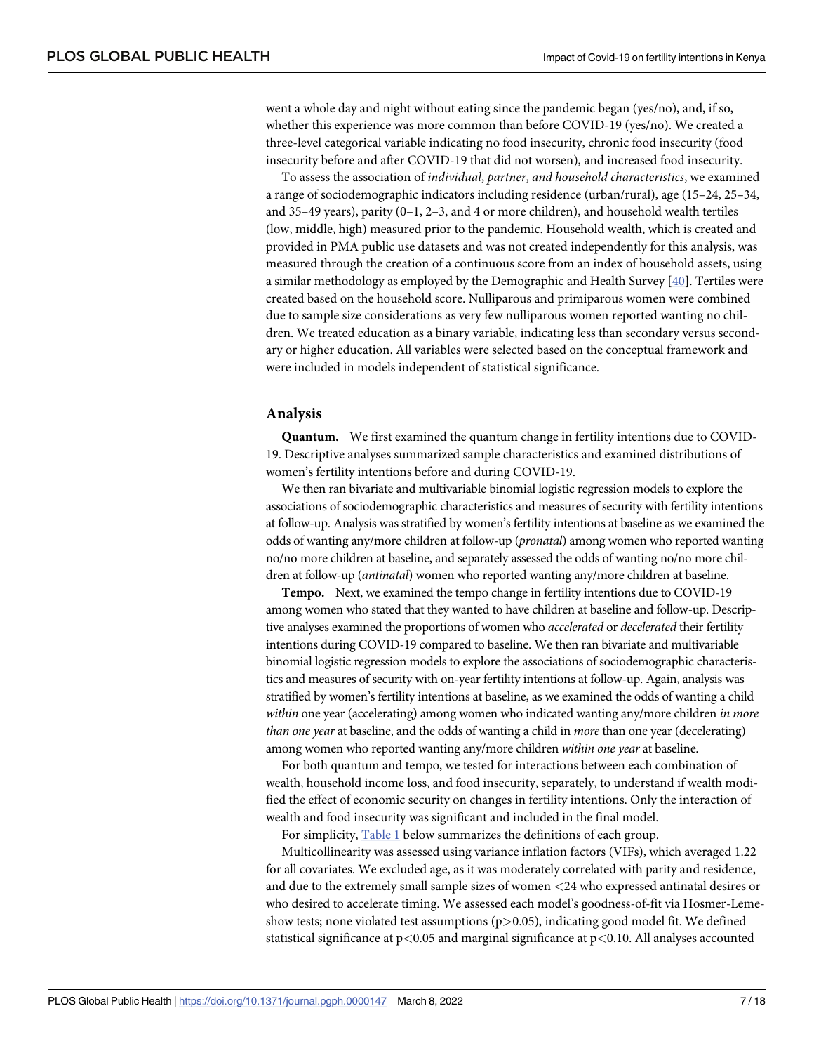<span id="page-6-0"></span>went a whole day and night without eating since the pandemic began (yes/no), and, if so, whether this experience was more common than before COVID-19 (yes/no). We created a three-level categorical variable indicating no food insecurity, chronic food insecurity (food insecurity before and after COVID-19 that did not worsen), and increased food insecurity.

To assess the association of *individual*, *partner*, *and household characteristics*, we examined a range of sociodemographic indicators including residence (urban/rural), age (15–24, 25–34, and 35–49 years), parity (0–1, 2–3, and 4 or more children), and household wealth tertiles (low, middle, high) measured prior to the pandemic. Household wealth, which is created and provided in PMA public use datasets and was not created independently for this analysis, was measured through the creation of a continuous score from an index of household assets, using a similar methodology as employed by the Demographic and Health Survey [[40](#page-16-0)]. Tertiles were created based on the household score. Nulliparous and primiparous women were combined due to sample size considerations as very few nulliparous women reported wanting no children. We treated education as a binary variable, indicating less than secondary versus secondary or higher education. All variables were selected based on the conceptual framework and were included in models independent of statistical significance.

#### **Analysis**

**Quantum.** We first examined the quantum change in fertility intentions due to COVID-19. Descriptive analyses summarized sample characteristics and examined distributions of women's fertility intentions before and during COVID-19.

We then ran bivariate and multivariable binomial logistic regression models to explore the associations of sociodemographic characteristics and measures of security with fertility intentions at follow-up. Analysis was stratified by women's fertility intentions at baseline as we examined the odds of wanting any/more children at follow-up (*pronatal*) among women who reported wanting no/no more children at baseline, and separately assessed the odds of wanting no/no more children at follow-up (*antinatal*) women who reported wanting any/more children at baseline.

**Tempo.** Next, we examined the tempo change in fertility intentions due to COVID-19 among women who stated that they wanted to have children at baseline and follow-up. Descriptive analyses examined the proportions of women who *accelerated* or *decelerated* their fertility intentions during COVID-19 compared to baseline. We then ran bivariate and multivariable binomial logistic regression models to explore the associations of sociodemographic characteristics and measures of security with on-year fertility intentions at follow-up. Again, analysis was stratified by women's fertility intentions at baseline, as we examined the odds of wanting a child *within* one year (accelerating) among women who indicated wanting any/more children *in more than one year* at baseline, and the odds of wanting a child in *more* than one year (decelerating) among women who reported wanting any/more children *within one year* at baseline.

For both quantum and tempo, we tested for interactions between each combination of wealth, household income loss, and food insecurity, separately, to understand if wealth modified the effect of economic security on changes in fertility intentions. Only the interaction of wealth and food insecurity was significant and included in the final model.

For simplicity, [Table](#page-7-0) 1 below summarizes the definitions of each group.

Multicollinearity was assessed using variance inflation factors (VIFs), which averaged 1.22 for all covariates. We excluded age, as it was moderately correlated with parity and residence, and due to the extremely small sample sizes of women *<*24 who expressed antinatal desires or who desired to accelerate timing. We assessed each model's goodness-of-fit via Hosmer-Lemeshow tests; none violated test assumptions (p*>*0.05), indicating good model fit. We defined statistical significance at p*<*0.05 and marginal significance at p*<*0.10. All analyses accounted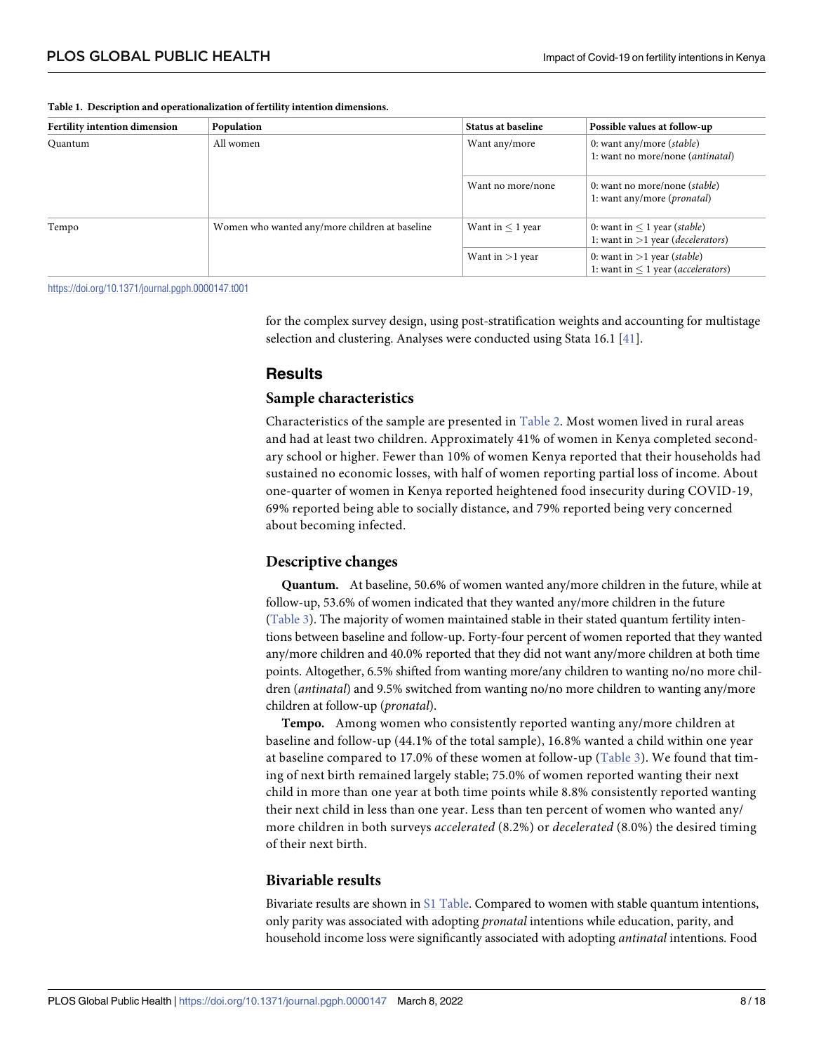#### <span id="page-7-0"></span>**[Table](#page-6-0) 1. Description and operationalization of fertility intention dimensions.**

| Fertility intention dimension | Population                                     | <b>Status at baseline</b> | Possible values at follow-up                                                      |
|-------------------------------|------------------------------------------------|---------------------------|-----------------------------------------------------------------------------------|
| Quantum                       | All women                                      | Want any/more             | 0: want any/more (stable)<br>1: want no more/none ( <i>antinatal</i> )            |
|                               |                                                | Want no more/none         | 0: want no more/none ( <i>stable</i> )<br>1: want any/more ( <i>pronatal</i> )    |
| Tempo                         | Women who wanted any/more children at baseline | Want in $\leq 1$ year     | 0: want in $\leq 1$ year (stable)<br>1: want in $>$ 1 year (decelerators)         |
|                               |                                                | Want in $>1$ year         | 0: want in $>1$ year (stable)<br>1: want in $\leq 1$ year ( <i>accelerators</i> ) |

<https://doi.org/10.1371/journal.pgph.0000147.t001>

for the complex survey design, using post-stratification weights and accounting for multistage selection and clustering. Analyses were conducted using Stata 16.1 [[41](#page-16-0)].

# **Results**

### **Sample characteristics**

Characteristics of the sample are presented in [Table](#page-8-0) 2. Most women lived in rural areas and had at least two children. Approximately 41% of women in Kenya completed secondary school or higher. Fewer than 10% of women Kenya reported that their households had sustained no economic losses, with half of women reporting partial loss of income. About one-quarter of women in Kenya reported heightened food insecurity during COVID-19, 69% reported being able to socially distance, and 79% reported being very concerned about becoming infected.

### **Descriptive changes**

**Quantum.** At baseline, 50.6% of women wanted any/more children in the future, while at follow-up, 53.6% of women indicated that they wanted any/more children in the future [\(Table](#page-9-0) 3). The majority of women maintained stable in their stated quantum fertility intentions between baseline and follow-up. Forty-four percent of women reported that they wanted any/more children and 40.0% reported that they did not want any/more children at both time points. Altogether, 6.5% shifted from wanting more/any children to wanting no/no more children (*antinatal*) and 9.5% switched from wanting no/no more children to wanting any/more children at follow-up (*pronatal*).

**Tempo.** Among women who consistently reported wanting any/more children at baseline and follow-up (44.1% of the total sample), 16.8% wanted a child within one year at baseline compared to 17.0% of these women at follow-up ([Table](#page-9-0) 3). We found that timing of next birth remained largely stable; 75.0% of women reported wanting their next child in more than one year at both time points while 8.8% consistently reported wanting their next child in less than one year. Less than ten percent of women who wanted any/ more children in both surveys *accelerated* (8.2%) or *decelerated* (8.0%) the desired timing of their next birth.

# **Bivariable results**

Bivariate results are shown in S1 [Table.](#page-14-0) Compared to women with stable quantum intentions, only parity was associated with adopting *pronatal* intentions while education, parity, and household income loss were significantly associated with adopting *antinatal* intentions. Food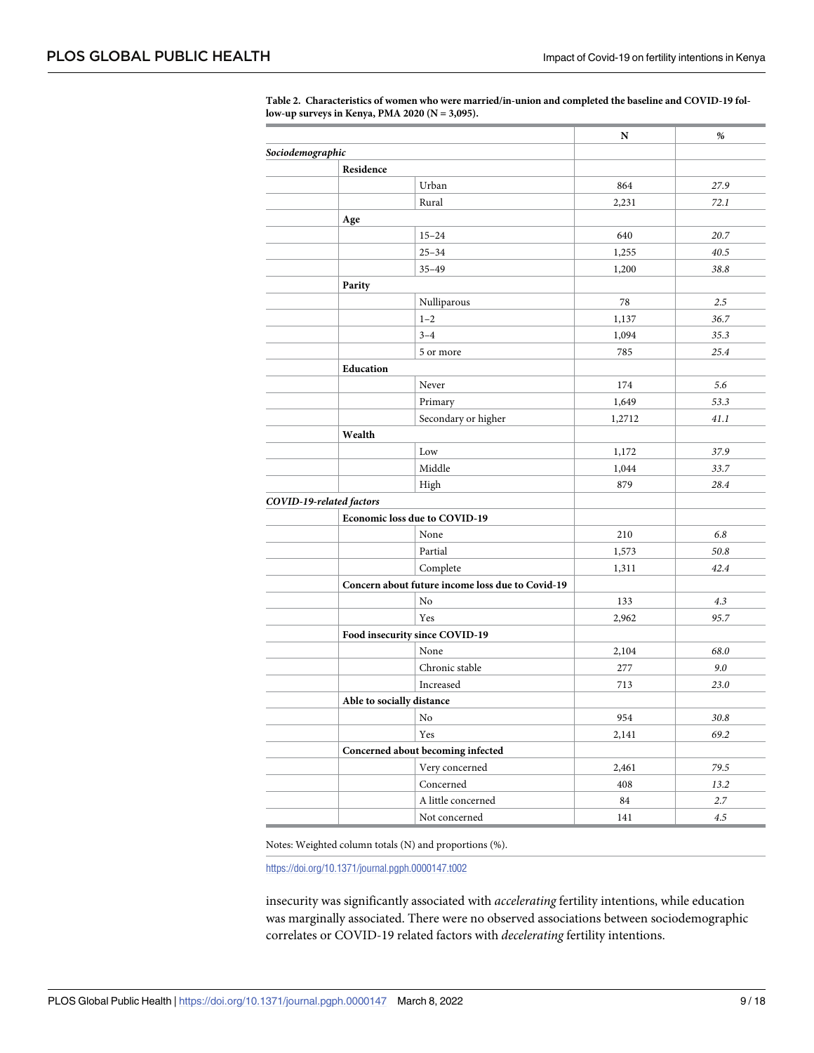|                  |                                   |                                                  | N      | %       |
|------------------|-----------------------------------|--------------------------------------------------|--------|---------|
| Sociodemographic |                                   |                                                  |        |         |
|                  | Residence                         |                                                  |        |         |
|                  |                                   | Urban                                            | 864    | 27.9    |
|                  | Rural                             |                                                  | 2,231  | 72.1    |
|                  | Age                               |                                                  |        |         |
|                  |                                   | $15 - 24$                                        | 640    | 20.7    |
|                  |                                   | $25 - 34$                                        | 1,255  | 40.5    |
|                  |                                   | $35 - 49$                                        | 1,200  | 38.8    |
|                  | Parity                            |                                                  |        |         |
|                  |                                   | Nulliparous                                      | 78     | 2.5     |
|                  | $1 - 2$                           |                                                  | 1,137  | 36.7    |
|                  | $3 - 4$                           |                                                  | 1,094  | 35.3    |
|                  |                                   | 5 or more                                        | 785    | 25.4    |
|                  | Education                         |                                                  |        |         |
|                  | Never                             |                                                  | 174    | 5.6     |
|                  |                                   | Primary                                          | 1,649  | 53.3    |
|                  |                                   | Secondary or higher                              | 1,2712 | 41.1    |
|                  | Wealth                            |                                                  |        |         |
|                  | Low                               |                                                  | 1,172  | 37.9    |
|                  |                                   | Middle                                           | 1,044  | 33.7    |
|                  | High                              |                                                  | 879    | 28.4    |
|                  | COVID-19-related factors          |                                                  |        |         |
|                  | Economic loss due to COVID-19     |                                                  |        |         |
|                  | None                              |                                                  | 210    | 6.8     |
|                  |                                   | Partial                                          | 1,573  | 50.8    |
|                  |                                   | Complete                                         | 1,311  | 42.4    |
|                  |                                   | Concern about future income loss due to Covid-19 |        |         |
|                  | No                                |                                                  | 133    | 4.3     |
|                  | Yes                               |                                                  | 2,962  | 95.7    |
|                  | Food insecurity since COVID-19    |                                                  |        |         |
|                  | None                              |                                                  | 2,104  | 68.0    |
|                  |                                   | Chronic stable                                   | 277    | 9.0     |
|                  |                                   | Increased                                        | 713    | 23.0    |
|                  | Able to socially distance         |                                                  |        |         |
|                  | No                                |                                                  | 954    | 30.8    |
|                  | Yes                               |                                                  | 2,141  | 69.2    |
|                  | Concerned about becoming infected |                                                  |        |         |
|                  |                                   | Very concerned                                   | 2,461  | 79.5    |
|                  |                                   | Concerned                                        | 408    | 13.2    |
|                  |                                   | A little concerned                               | 84     | 2.7     |
|                  |                                   | Not concerned                                    | 141    | $4.5\,$ |

<span id="page-8-0"></span>**[Table](#page-7-0) 2. Characteristics of women who were married/in-union and completed the baseline and COVID-19 follow-up surveys in Kenya, PMA 2020 (N = 3,095).**

Notes: Weighted column totals (N) and proportions (%).

<https://doi.org/10.1371/journal.pgph.0000147.t002>

insecurity was significantly associated with *accelerating* fertility intentions, while education was marginally associated. There were no observed associations between sociodemographic correlates or COVID-19 related factors with *decelerating* fertility intentions.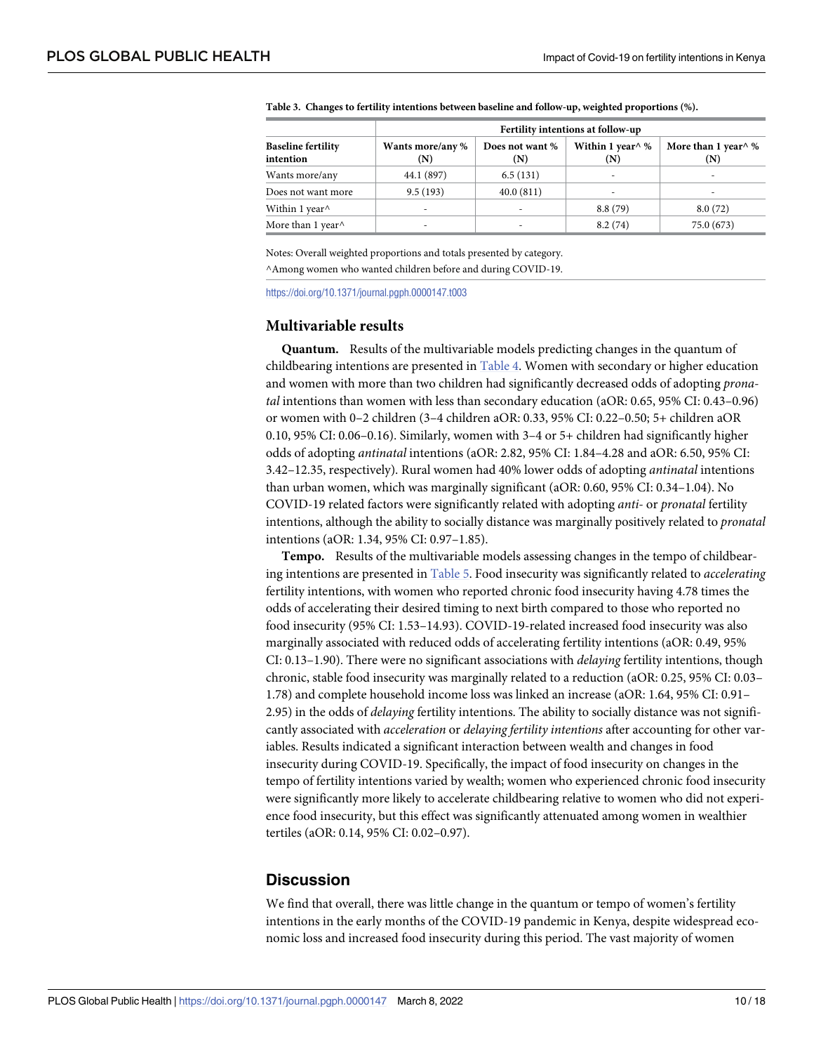|                                              | Fertility intentions at follow-up |                                   |                                |                              |  |  |
|----------------------------------------------|-----------------------------------|-----------------------------------|--------------------------------|------------------------------|--|--|
| <b>Baseline fertility</b><br>intention       | Wants more/any %<br>(N)           | Does not want %<br>$(\mathbf{N})$ | Within 1 year $\land$ %<br>(N) | More than 1 year $\%$<br>(N) |  |  |
| Wants more/any                               | 44.1 (897)                        | 6.5(131)                          |                                | -                            |  |  |
| Does not want more                           | 9.5(193)                          | 40.0(811)                         |                                |                              |  |  |
| Within 1 year <sup><math>\wedge</math></sup> | ۰                                 | ۰                                 | 8.8(79)                        | 8.0(72)                      |  |  |
| More than 1 year $\wedge$                    |                                   | -                                 | 8.2(74)                        | 75.0 (673)                   |  |  |

<span id="page-9-0"></span>**[Table](#page-7-0) 3. Changes to fertility intentions between baseline and follow-up, weighted proportions (%).**

Notes: Overall weighted proportions and totals presented by category. ^Among women who wanted children before and during COVID-19.

<https://doi.org/10.1371/journal.pgph.0000147.t003>

#### **Multivariable results**

**Quantum.** Results of the multivariable models predicting changes in the quantum of childbearing intentions are presented in [Table](#page-10-0) 4. Women with secondary or higher education and women with more than two children had significantly decreased odds of adopting *pronatal* intentions than women with less than secondary education (aOR: 0.65, 95% CI: 0.43–0.96) or women with 0–2 children (3–4 children aOR: 0.33, 95% CI: 0.22–0.50; 5+ children aOR 0.10, 95% CI: 0.06–0.16). Similarly, women with 3–4 or 5+ children had significantly higher odds of adopting *antinatal* intentions (aOR: 2.82, 95% CI: 1.84–4.28 and aOR: 6.50, 95% CI: 3.42–12.35, respectively). Rural women had 40% lower odds of adopting *antinatal* intentions than urban women, which was marginally significant (aOR: 0.60, 95% CI: 0.34–1.04). No COVID-19 related factors were significantly related with adopting *anti-* or *pronatal* fertility intentions, although the ability to socially distance was marginally positively related to *pronatal* intentions (aOR: 1.34, 95% CI: 0.97–1.85).

**Tempo.** Results of the multivariable models assessing changes in the tempo of childbearing intentions are presented in [Table](#page-11-0) 5. Food insecurity was significantly related to *accelerating* fertility intentions, with women who reported chronic food insecurity having 4.78 times the odds of accelerating their desired timing to next birth compared to those who reported no food insecurity (95% CI: 1.53–14.93). COVID-19-related increased food insecurity was also marginally associated with reduced odds of accelerating fertility intentions (aOR: 0.49, 95% CI: 0.13–1.90). There were no significant associations with *delaying* fertility intentions, though chronic, stable food insecurity was marginally related to a reduction (aOR: 0.25, 95% CI: 0.03– 1.78) and complete household income loss was linked an increase (aOR: 1.64, 95% CI: 0.91– 2.95) in the odds of *delaying* fertility intentions. The ability to socially distance was not significantly associated with *acceleration* or *delaying fertility intentions* after accounting for other variables. Results indicated a significant interaction between wealth and changes in food insecurity during COVID-19. Specifically, the impact of food insecurity on changes in the tempo of fertility intentions varied by wealth; women who experienced chronic food insecurity were significantly more likely to accelerate childbearing relative to women who did not experience food insecurity, but this effect was significantly attenuated among women in wealthier tertiles (aOR: 0.14, 95% CI: 0.02–0.97).

# **Discussion**

We find that overall, there was little change in the quantum or tempo of women's fertility intentions in the early months of the COVID-19 pandemic in Kenya, despite widespread economic loss and increased food insecurity during this period. The vast majority of women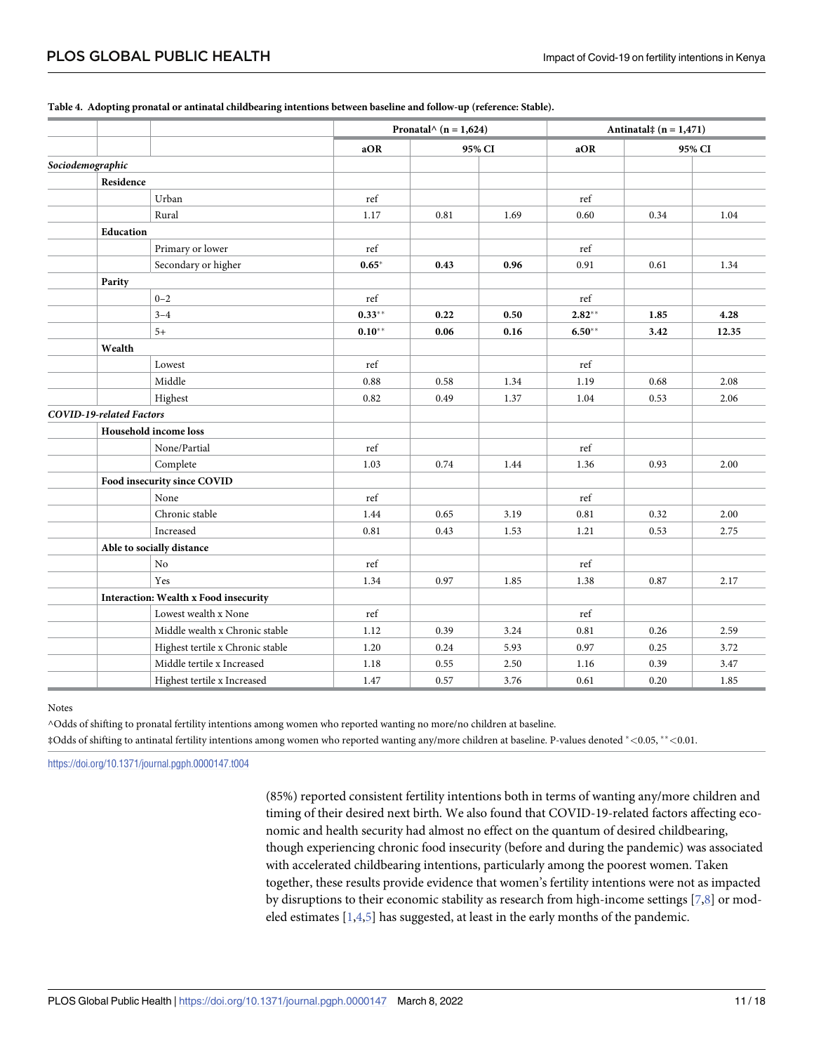|                          |                                       | Pronatal $\wedge$ (n = 1,624) |        |      | Antinatal $\ddagger$ (n = 1,471) |        |       |
|--------------------------|---------------------------------------|-------------------------------|--------|------|----------------------------------|--------|-------|
|                          |                                       | aOR                           | 95% CI |      | aOR                              | 95% CI |       |
| Sociodemographic         |                                       |                               |        |      |                                  |        |       |
| Residence                |                                       |                               |        |      |                                  |        |       |
|                          | Urban                                 | ref                           |        |      | ref                              |        |       |
|                          | Rural                                 | 1.17                          | 0.81   | 1.69 | 0.60                             | 0.34   | 1.04  |
| <b>Education</b>         |                                       |                               |        |      |                                  |        |       |
|                          | Primary or lower                      | $\operatorname{ref}$          |        |      | ref                              |        |       |
|                          | Secondary or higher                   | $0.65*$                       | 0.43   | 0.96 | 0.91                             | 0.61   | 1.34  |
| Parity                   |                                       |                               |        |      |                                  |        |       |
|                          | $0 - 2$                               | ref                           |        |      | ref                              |        |       |
|                          | $3 - 4$                               | $0.33***$                     | 0.22   | 0.50 | $2.82**$                         | 1.85   | 4.28  |
|                          | $5+$                                  | $0.10**$                      | 0.06   | 0.16 | $6.50**$                         | 3.42   | 12.35 |
| Wealth                   |                                       |                               |        |      |                                  |        |       |
|                          | Lowest                                | ref                           |        |      | ref                              |        |       |
|                          | Middle                                | 0.88                          | 0.58   | 1.34 | 1.19                             | 0.68   | 2.08  |
|                          | Highest                               | 0.82                          | 0.49   | 1.37 | 1.04                             | 0.53   | 2.06  |
| COVID-19-related Factors |                                       |                               |        |      |                                  |        |       |
|                          | Household income loss                 |                               |        |      |                                  |        |       |
|                          | None/Partial                          | ref                           |        |      | ref                              |        |       |
|                          | Complete                              | 1.03                          | 0.74   | 1.44 | 1.36                             | 0.93   | 2.00  |
|                          | Food insecurity since COVID           |                               |        |      |                                  |        |       |
|                          | None                                  | $\operatorname{ref}$          |        |      | ref                              |        |       |
|                          | Chronic stable                        | 1.44                          | 0.65   | 3.19 | 0.81                             | 0.32   | 2.00  |
|                          | Increased                             | 0.81                          | 0.43   | 1.53 | 1.21                             | 0.53   | 2.75  |
|                          | Able to socially distance             |                               |        |      |                                  |        |       |
|                          | No                                    | ref                           |        |      | ref                              |        |       |
|                          | Yes                                   | 1.34                          | 0.97   | 1.85 | 1.38                             | 0.87   | 2.17  |
|                          | Interaction: Wealth x Food insecurity |                               |        |      |                                  |        |       |
|                          | Lowest wealth x None                  | ref                           |        |      | ref                              |        |       |
|                          | Middle wealth x Chronic stable        | 1.12                          | 0.39   | 3.24 | 0.81                             | 0.26   | 2.59  |
|                          | Highest tertile x Chronic stable      | 1.20                          | 0.24   | 5.93 | 0.97                             | 0.25   | 3.72  |
|                          | Middle tertile x Increased            | 1.18                          | 0.55   | 2.50 | 1.16                             | 0.39   | 3.47  |
|                          | Highest tertile x Increased           | 1.47                          | 0.57   | 3.76 | 0.61                             | 0.20   | 1.85  |

#### <span id="page-10-0"></span>**[Table](#page-9-0) 4. Adopting pronatal or antinatal childbearing intentions between baseline and follow-up (reference: Stable).**

Notes

^Odds of shifting to pronatal fertility intentions among women who reported wanting no more/no children at baseline.

‡Odds of shifting to antinatal fertility intentions among women who reported wanting any/more children at baseline. P-values denoted �*<*0.05, ��*<*0.01.

<https://doi.org/10.1371/journal.pgph.0000147.t004>

(85%) reported consistent fertility intentions both in terms of wanting any/more children and timing of their desired next birth. We also found that COVID-19-related factors affecting economic and health security had almost no effect on the quantum of desired childbearing, though experiencing chronic food insecurity (before and during the pandemic) was associated with accelerated childbearing intentions, particularly among the poorest women. Taken together, these results provide evidence that women's fertility intentions were not as impacted by disruptions to their economic stability as research from high-income settings [[7,8\]](#page-15-0) or modeled estimates  $[1,4,5]$  $[1,4,5]$  $[1,4,5]$  has suggested, at least in the early months of the pandemic.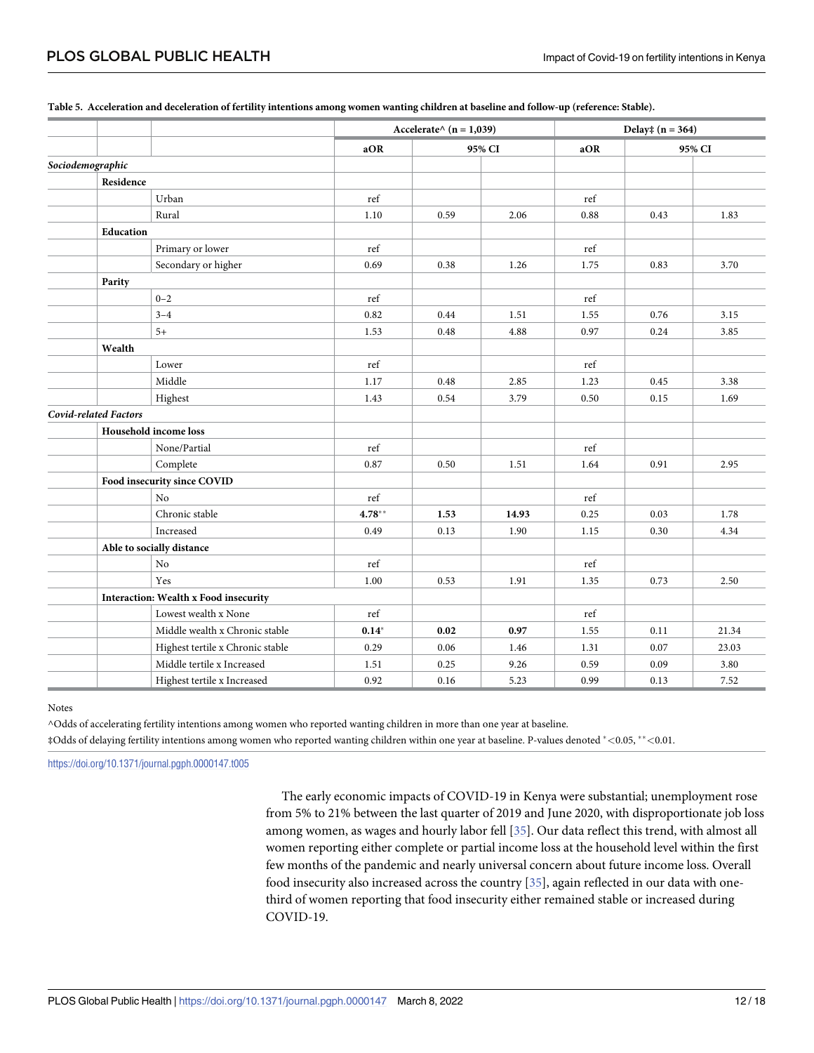|                                       |           | Accelerate $\land$ (n = 1,039) |       | Delay $\ddagger$ (n = 364) |        |       |
|---------------------------------------|-----------|--------------------------------|-------|----------------------------|--------|-------|
|                                       | aOR       | 95% CI                         |       | aOR                        | 95% CI |       |
| Sociodemographic                      |           |                                |       |                            |        |       |
| Residence                             |           |                                |       |                            |        |       |
| Urban                                 | ref       |                                |       | ref                        |        |       |
| Rural                                 | 1.10      | 0.59                           | 2.06  | 0.88                       | 0.43   | 1.83  |
| Education                             |           |                                |       |                            |        |       |
| Primary or lower                      | ref       |                                |       | ref                        |        |       |
| Secondary or higher                   | 0.69      | 0.38                           | 1.26  | 1.75                       | 0.83   | 3.70  |
| Parity                                |           |                                |       |                            |        |       |
| $0 - 2$                               | ref       |                                |       | ref                        |        |       |
| $3 - 4$                               | 0.82      | 0.44                           | 1.51  | 1.55                       | 0.76   | 3.15  |
| $5+$                                  | 1.53      | 0.48                           | 4.88  | 0.97                       | 0.24   | 3.85  |
| Wealth                                |           |                                |       |                            |        |       |
| Lower                                 | ref       |                                |       | ref                        |        |       |
| Middle                                | 1.17      | 0.48                           | 2.85  | 1.23                       | 0.45   | 3.38  |
| Highest                               | 1.43      | 0.54                           | 3.79  | 0.50                       | 0.15   | 1.69  |
| <b>Covid-related Factors</b>          |           |                                |       |                            |        |       |
| Household income loss                 |           |                                |       |                            |        |       |
| None/Partial                          | ref       |                                |       | ref                        |        |       |
| Complete                              | 0.87      | 0.50                           | 1.51  | 1.64                       | 0.91   | 2.95  |
| Food insecurity since COVID           |           |                                |       |                            |        |       |
| No                                    | ref       |                                |       | ref                        |        |       |
| Chronic stable                        | $4.78***$ | 1.53                           | 14.93 | 0.25                       | 0.03   | 1.78  |
| Increased                             | 0.49      | 0.13                           | 1.90  | 1.15                       | 0.30   | 4.34  |
| Able to socially distance             |           |                                |       |                            |        |       |
| No                                    | ref       |                                |       | ref                        |        |       |
| Yes                                   | 1.00      | 0.53                           | 1.91  | 1.35                       | 0.73   | 2.50  |
| Interaction: Wealth x Food insecurity |           |                                |       |                            |        |       |
| Lowest wealth x None                  | ref       |                                |       | ref                        |        |       |
| Middle wealth x Chronic stable        | $0.14*$   | 0.02                           | 0.97  | 1.55                       | 0.11   | 21.34 |
| Highest tertile x Chronic stable      | 0.29      | 0.06                           | 1.46  | 1.31                       | 0.07   | 23.03 |
| Middle tertile x Increased            | 1.51      | 0.25                           | 9.26  | 0.59                       | 0.09   | 3.80  |
| Highest tertile x Increased           | 0.92      | 0.16                           | 5.23  | 0.99                       | 0.13   | 7.52  |

#### <span id="page-11-0"></span>[Table](#page-9-0) 5. Acceleration and deceleration of fertility intentions among women wanting children at baseline and follow-up (reference: Stable).

Notes

^Odds of accelerating fertility intentions among women who reported wanting children in more than one year at baseline.

‡Odds of delaying fertility intentions among women who reported wanting children within one year at baseline. P-values denoted �*<*0.05, ��*<*0.01.

<https://doi.org/10.1371/journal.pgph.0000147.t005>

The early economic impacts of COVID-19 in Kenya were substantial; unemployment rose from 5% to 21% between the last quarter of 2019 and June 2020, with disproportionate job loss among women, as wages and hourly labor fell [[35](#page-16-0)]. Our data reflect this trend, with almost all women reporting either complete or partial income loss at the household level within the first few months of the pandemic and nearly universal concern about future income loss. Overall food insecurity also increased across the country [\[35\]](#page-16-0), again reflected in our data with onethird of women reporting that food insecurity either remained stable or increased during COVID-19.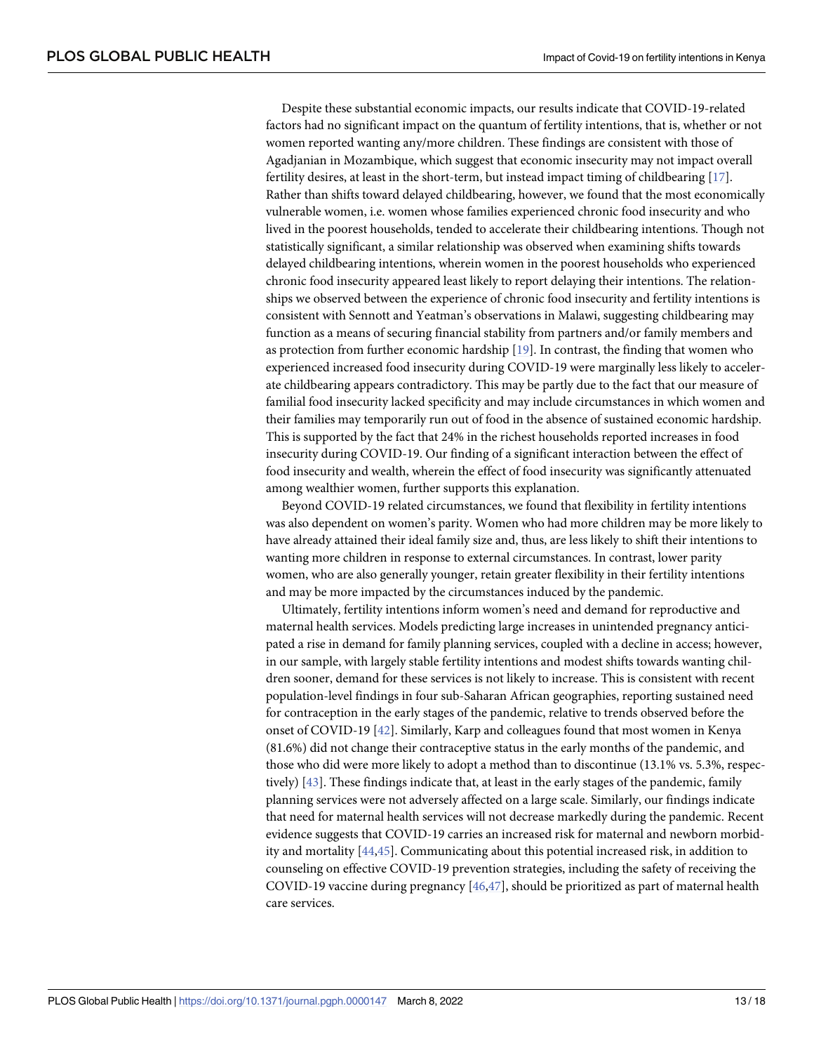<span id="page-12-0"></span>Despite these substantial economic impacts, our results indicate that COVID-19-related factors had no significant impact on the quantum of fertility intentions, that is, whether or not women reported wanting any/more children. These findings are consistent with those of Agadjanian in Mozambique, which suggest that economic insecurity may not impact overall fertility desires, at least in the short-term, but instead impact timing of childbearing [\[17\]](#page-15-0). Rather than shifts toward delayed childbearing, however, we found that the most economically vulnerable women, i.e. women whose families experienced chronic food insecurity and who lived in the poorest households, tended to accelerate their childbearing intentions. Though not statistically significant, a similar relationship was observed when examining shifts towards delayed childbearing intentions, wherein women in the poorest households who experienced chronic food insecurity appeared least likely to report delaying their intentions. The relationships we observed between the experience of chronic food insecurity and fertility intentions is consistent with Sennott and Yeatman's observations in Malawi, suggesting childbearing may function as a means of securing financial stability from partners and/or family members and as protection from further economic hardship [[19](#page-15-0)]. In contrast, the finding that women who experienced increased food insecurity during COVID-19 were marginally less likely to accelerate childbearing appears contradictory. This may be partly due to the fact that our measure of familial food insecurity lacked specificity and may include circumstances in which women and their families may temporarily run out of food in the absence of sustained economic hardship. This is supported by the fact that 24% in the richest households reported increases in food insecurity during COVID-19. Our finding of a significant interaction between the effect of food insecurity and wealth, wherein the effect of food insecurity was significantly attenuated among wealthier women, further supports this explanation.

Beyond COVID-19 related circumstances, we found that flexibility in fertility intentions was also dependent on women's parity. Women who had more children may be more likely to have already attained their ideal family size and, thus, are less likely to shift their intentions to wanting more children in response to external circumstances. In contrast, lower parity women, who are also generally younger, retain greater flexibility in their fertility intentions and may be more impacted by the circumstances induced by the pandemic.

Ultimately, fertility intentions inform women's need and demand for reproductive and maternal health services. Models predicting large increases in unintended pregnancy anticipated a rise in demand for family planning services, coupled with a decline in access; however, in our sample, with largely stable fertility intentions and modest shifts towards wanting children sooner, demand for these services is not likely to increase. This is consistent with recent population-level findings in four sub-Saharan African geographies, reporting sustained need for contraception in the early stages of the pandemic, relative to trends observed before the onset of COVID-19 [\[42\]](#page-16-0). Similarly, Karp and colleagues found that most women in Kenya (81.6%) did not change their contraceptive status in the early months of the pandemic, and those who did were more likely to adopt a method than to discontinue (13.1% vs. 5.3%, respectively) [\[43\]](#page-16-0). These findings indicate that, at least in the early stages of the pandemic, family planning services were not adversely affected on a large scale. Similarly, our findings indicate that need for maternal health services will not decrease markedly during the pandemic. Recent evidence suggests that COVID-19 carries an increased risk for maternal and newborn morbidity and mortality [\[44,45\]](#page-16-0). Communicating about this potential increased risk, in addition to counseling on effective COVID-19 prevention strategies, including the safety of receiving the COVID-19 vaccine during pregnancy [[46,47\]](#page-17-0), should be prioritized as part of maternal health care services.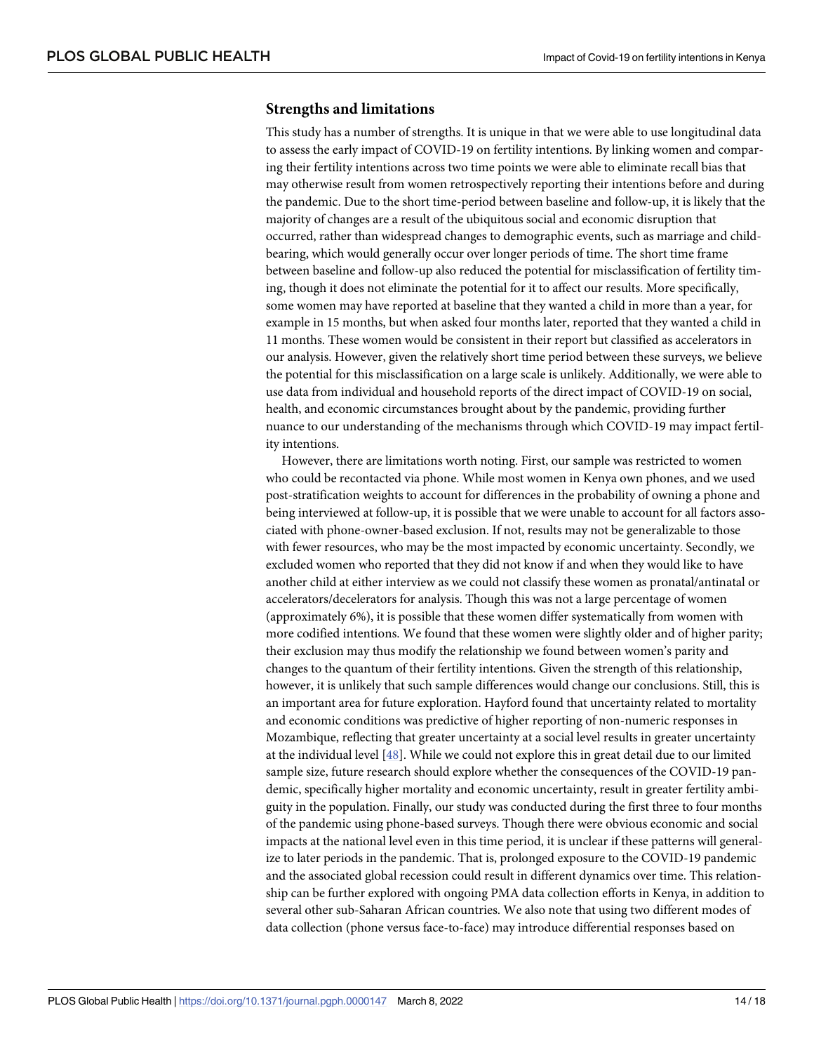#### <span id="page-13-0"></span>**Strengths and limitations**

This study has a number of strengths. It is unique in that we were able to use longitudinal data to assess the early impact of COVID-19 on fertility intentions. By linking women and comparing their fertility intentions across two time points we were able to eliminate recall bias that may otherwise result from women retrospectively reporting their intentions before and during the pandemic. Due to the short time-period between baseline and follow-up, it is likely that the majority of changes are a result of the ubiquitous social and economic disruption that occurred, rather than widespread changes to demographic events, such as marriage and childbearing, which would generally occur over longer periods of time. The short time frame between baseline and follow-up also reduced the potential for misclassification of fertility timing, though it does not eliminate the potential for it to affect our results. More specifically, some women may have reported at baseline that they wanted a child in more than a year, for example in 15 months, but when asked four months later, reported that they wanted a child in 11 months. These women would be consistent in their report but classified as accelerators in our analysis. However, given the relatively short time period between these surveys, we believe the potential for this misclassification on a large scale is unlikely. Additionally, we were able to use data from individual and household reports of the direct impact of COVID-19 on social, health, and economic circumstances brought about by the pandemic, providing further nuance to our understanding of the mechanisms through which COVID-19 may impact fertility intentions.

However, there are limitations worth noting. First, our sample was restricted to women who could be recontacted via phone. While most women in Kenya own phones, and we used post-stratification weights to account for differences in the probability of owning a phone and being interviewed at follow-up, it is possible that we were unable to account for all factors associated with phone-owner-based exclusion. If not, results may not be generalizable to those with fewer resources, who may be the most impacted by economic uncertainty. Secondly, we excluded women who reported that they did not know if and when they would like to have another child at either interview as we could not classify these women as pronatal/antinatal or accelerators/decelerators for analysis. Though this was not a large percentage of women (approximately 6%), it is possible that these women differ systematically from women with more codified intentions. We found that these women were slightly older and of higher parity; their exclusion may thus modify the relationship we found between women's parity and changes to the quantum of their fertility intentions. Given the strength of this relationship, however, it is unlikely that such sample differences would change our conclusions. Still, this is an important area for future exploration. Hayford found that uncertainty related to mortality and economic conditions was predictive of higher reporting of non-numeric responses in Mozambique, reflecting that greater uncertainty at a social level results in greater uncertainty at the individual level [[48](#page-17-0)]. While we could not explore this in great detail due to our limited sample size, future research should explore whether the consequences of the COVID-19 pandemic, specifically higher mortality and economic uncertainty, result in greater fertility ambiguity in the population. Finally, our study was conducted during the first three to four months of the pandemic using phone-based surveys. Though there were obvious economic and social impacts at the national level even in this time period, it is unclear if these patterns will generalize to later periods in the pandemic. That is, prolonged exposure to the COVID-19 pandemic and the associated global recession could result in different dynamics over time. This relationship can be further explored with ongoing PMA data collection efforts in Kenya, in addition to several other sub-Saharan African countries. We also note that using two different modes of data collection (phone versus face-to-face) may introduce differential responses based on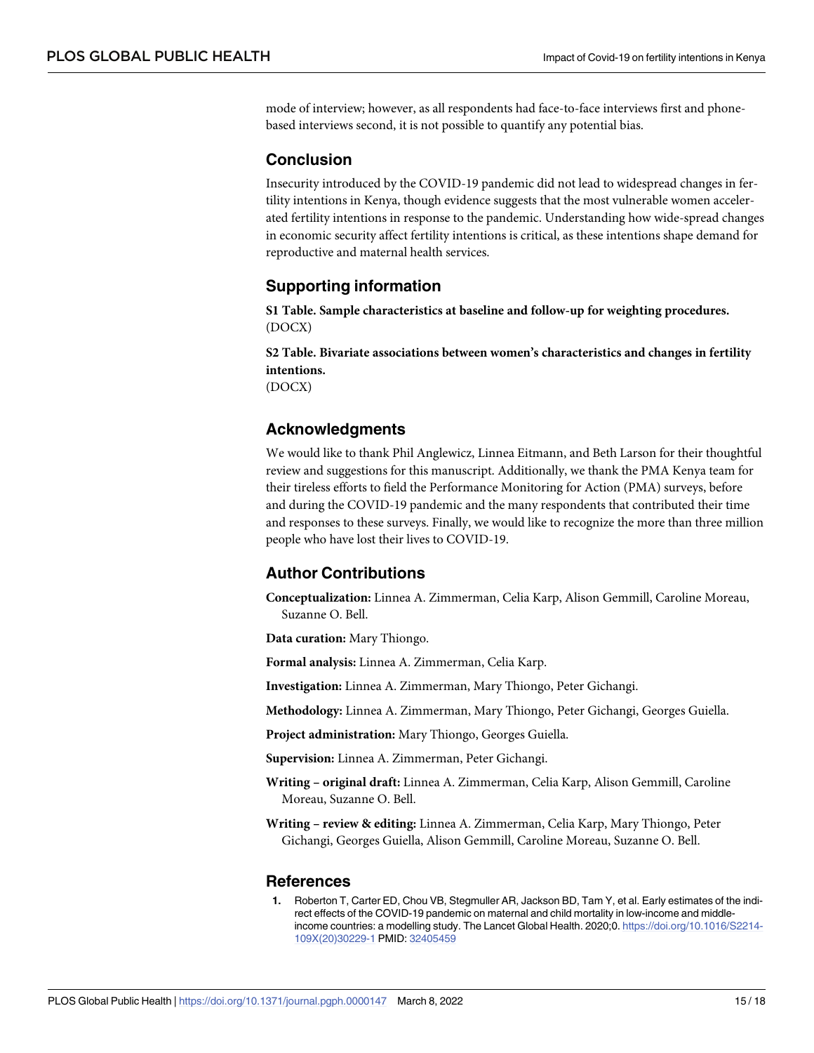<span id="page-14-0"></span>mode of interview; however, as all respondents had face-to-face interviews first and phonebased interviews second, it is not possible to quantify any potential bias.

# **Conclusion**

Insecurity introduced by the COVID-19 pandemic did not lead to widespread changes in fertility intentions in Kenya, though evidence suggests that the most vulnerable women accelerated fertility intentions in response to the pandemic. Understanding how wide-spread changes in economic security affect fertility intentions is critical, as these intentions shape demand for reproductive and maternal health services.

# **Supporting information**

**S1 [Table.](http://journals.plos.org/globalpublichealth/article/asset?unique&id=info:doi/10.1371/journal.pgph.0000147.s001) Sample characteristics at baseline and follow-up for weighting procedures.** (DOCX)

**S2 [Table.](http://journals.plos.org/globalpublichealth/article/asset?unique&id=info:doi/10.1371/journal.pgph.0000147.s002) Bivariate associations between women's characteristics and changes in fertility intentions.** (DOCX)

# **Acknowledgments**

We would like to thank Phil Anglewicz, Linnea Eitmann, and Beth Larson for their thoughtful review and suggestions for this manuscript. Additionally, we thank the PMA Kenya team for their tireless efforts to field the Performance Monitoring for Action (PMA) surveys, before and during the COVID-19 pandemic and the many respondents that contributed their time and responses to these surveys. Finally, we would like to recognize the more than three million people who have lost their lives to COVID-19.

# **Author Contributions**

**Conceptualization:** Linnea A. Zimmerman, Celia Karp, Alison Gemmill, Caroline Moreau, Suzanne O. Bell.

**Data curation:** Mary Thiongo.

**Formal analysis:** Linnea A. Zimmerman, Celia Karp.

**Investigation:** Linnea A. Zimmerman, Mary Thiongo, Peter Gichangi.

**Methodology:** Linnea A. Zimmerman, Mary Thiongo, Peter Gichangi, Georges Guiella.

**Project administration:** Mary Thiongo, Georges Guiella.

**Supervision:** Linnea A. Zimmerman, Peter Gichangi.

**Writing – original draft:** Linnea A. Zimmerman, Celia Karp, Alison Gemmill, Caroline Moreau, Suzanne O. Bell.

**Writing – review & editing:** Linnea A. Zimmerman, Celia Karp, Mary Thiongo, Peter Gichangi, Georges Guiella, Alison Gemmill, Caroline Moreau, Suzanne O. Bell.

#### **References**

**[1](#page-10-0).** Roberton T, Carter ED, Chou VB, Stegmuller AR, Jackson BD, Tam Y, et al. Early estimates of the indirect effects of the COVID-19 pandemic on maternal and child mortality in low-income and middleincome countries: a modelling study. The Lancet Global Health. 2020;0. [https://doi.org/10.1016/S2214-](https://doi.org/10.1016/S2214-109X%2820%2930229-1) [109X\(20\)30229-1](https://doi.org/10.1016/S2214-109X%2820%2930229-1) PMID: [32405459](http://www.ncbi.nlm.nih.gov/pubmed/32405459)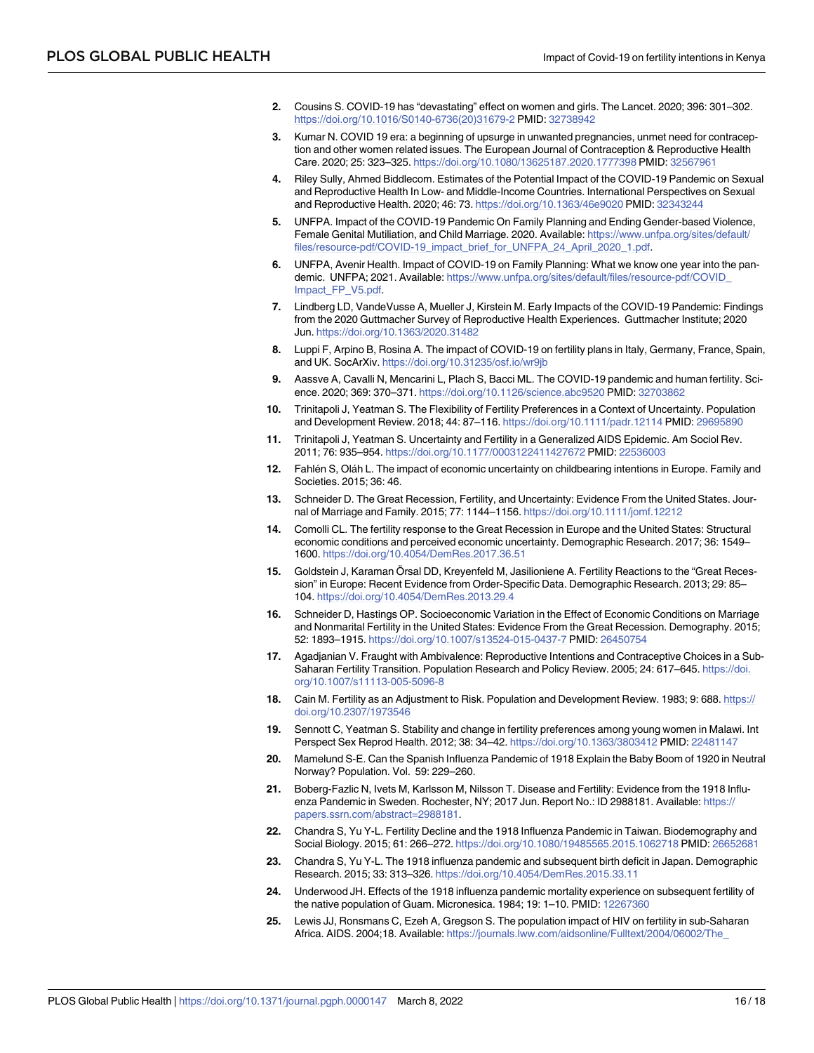- <span id="page-15-0"></span>**[2](#page-0-0).** Cousins S. COVID-19 has "devastating" effect on women and girls. The Lancet. 2020; 396: 301–302. [https://doi.org/10.1016/S0140-6736\(20\)31679-2](https://doi.org/10.1016/S0140-6736%2820%2931679-2) PMID: [32738942](http://www.ncbi.nlm.nih.gov/pubmed/32738942)
- **3.** Kumar N. COVID 19 era: a beginning of upsurge in unwanted pregnancies, unmet need for contraception and other women related issues. The European Journal of Contraception & Reproductive Health Care. 2020; 25: 323–325. <https://doi.org/10.1080/13625187.2020.1777398> PMID: [32567961](http://www.ncbi.nlm.nih.gov/pubmed/32567961)
- **[4](#page-10-0).** Riley Sully, Ahmed Biddlecom. Estimates of the Potential Impact of the COVID-19 Pandemic on Sexual and Reproductive Health In Low- and Middle-Income Countries. International Perspectives on Sexual and Reproductive Health. 2020; 46: 73. <https://doi.org/10.1363/46e9020> PMID: [32343244](http://www.ncbi.nlm.nih.gov/pubmed/32343244)
- **[5](#page-10-0).** UNFPA. Impact of the COVID-19 Pandemic On Family Planning and Ending Gender-based Violence, Female Genital Mutiliation, and Child Marriage. 2020. Available: [https://www.unfpa.org/sites/default/](https://www.unfpa.org/sites/default/files/resource-pdf/COVID-19_impact_brief_for_UNFPA_24_April_2020_1.pdf) [files/resource-pdf/COVID-19\\_impact\\_brief\\_for\\_UNFPA\\_24\\_April\\_2020\\_1.pdf](https://www.unfpa.org/sites/default/files/resource-pdf/COVID-19_impact_brief_for_UNFPA_24_April_2020_1.pdf).
- **[6](#page-1-0).** UNFPA, Avenir Health. Impact of COVID-19 on Family Planning: What we know one year into the pandemic. UNFPA; 2021. Available: [https://www.unfpa.org/sites/default/files/resource-pdf/COVID\\_](https://www.unfpa.org/sites/default/files/resource-pdf/COVID_Impact_FP_V5.pdf) [Impact\\_FP\\_V5.pdf.](https://www.unfpa.org/sites/default/files/resource-pdf/COVID_Impact_FP_V5.pdf)
- **[7](#page-10-0).** Lindberg LD, VandeVusse A, Mueller J, Kirstein M. Early Impacts of the COVID-19 Pandemic: Findings from the 2020 Guttmacher Survey of Reproductive Health Experiences. Guttmacher Institute; 2020 Jun. <https://doi.org/10.1363/2020.31482>
- **[8](#page-1-0).** Luppi F, Arpino B, Rosina A. The impact of COVID-19 on fertility plans in Italy, Germany, France, Spain, and UK. SocArXiv. <https://doi.org/10.31235/osf.io/wr9jb>
- **[9](#page-1-0).** Aassve A, Cavalli N, Mencarini L, Plach S, Bacci ML. The COVID-19 pandemic and human fertility. Science. 2020; 369: 370–371. <https://doi.org/10.1126/science.abc9520> PMID: [32703862](http://www.ncbi.nlm.nih.gov/pubmed/32703862)
- **[10](#page-2-0).** Trinitapoli J, Yeatman S. The Flexibility of Fertility Preferences in a Context of Uncertainty. Population and Development Review. 2018; 44: 87–116. <https://doi.org/10.1111/padr.12114> PMID: [29695890](http://www.ncbi.nlm.nih.gov/pubmed/29695890)
- **[11](#page-1-0).** Trinitapoli J, Yeatman S. Uncertainty and Fertility in a Generalized AIDS Epidemic. Am Sociol Rev. 2011; 76: 935–954. <https://doi.org/10.1177/0003122411427672> PMID: [22536003](http://www.ncbi.nlm.nih.gov/pubmed/22536003)
- **[12](#page-2-0).** Fahlen S, Olan L. The impact of economic uncertainty on childbearing intentions in Europe. Family and Societies. 2015; 36: 46.
- **13.** Schneider D. The Great Recession, Fertility, and Uncertainty: Evidence From the United States. Journal of Marriage and Family. 2015; 77: 1144–1156. <https://doi.org/10.1111/jomf.12212>
- **[14](#page-1-0).** Comolli CL. The fertility response to the Great Recession in Europe and the United States: Structural economic conditions and perceived economic uncertainty. Demographic Research. 2017; 36: 1549– 1600. <https://doi.org/10.4054/DemRes.2017.36.51>
- **15.** Goldstein J, Karaman Örsal DD, Kreyenfeld M, Jasilioniene A. Fertility Reactions to the "Great Recession" in Europe: Recent Evidence from Order-Specific Data. Demographic Research. 2013; 29: 85– 104. <https://doi.org/10.4054/DemRes.2013.29.4>
- **[16](#page-1-0).** Schneider D, Hastings OP. Socioeconomic Variation in the Effect of Economic Conditions on Marriage and Nonmarital Fertility in the United States: Evidence From the Great Recession. Demography. 2015; 52: 1893–1915. <https://doi.org/10.1007/s13524-015-0437-7> PMID: [26450754](http://www.ncbi.nlm.nih.gov/pubmed/26450754)
- **[17](#page-12-0).** Agadjanian V. Fraught with Ambivalence: Reproductive Intentions and Contraceptive Choices in a Sub-Saharan Fertility Transition. Population Research and Policy Review. 2005; 24: 617–645. [https://doi.](https://doi.org/10.1007/s11113-005-5096-8) [org/10.1007/s11113-005-5096-8](https://doi.org/10.1007/s11113-005-5096-8)
- **[18](#page-1-0).** Cain M. Fertility as an Adjustment to Risk. Population and Development Review. 1983; 9: 688. [https://](https://doi.org/10.2307/1973546) [doi.org/10.2307/1973546](https://doi.org/10.2307/1973546)
- **[19](#page-12-0).** Sennott C, Yeatman S. Stability and change in fertility preferences among young women in Malawi. Int Perspect Sex Reprod Health. 2012; 38: 34–42. <https://doi.org/10.1363/3803412> PMID: [22481147](http://www.ncbi.nlm.nih.gov/pubmed/22481147)
- **[20](#page-1-0).** Mamelund S-E. Can the Spanish Influenza Pandemic of 1918 Explain the Baby Boom of 1920 in Neutral Norway? Population. Vol. 59: 229–260.
- **[21](#page-1-0).** Boberg-Fazlic N, Ivets M, Karlsson M, Nilsson T. Disease and Fertility: Evidence from the 1918 Influenza Pandemic in Sweden. Rochester, NY; 2017 Jun. Report No.: ID 2988181. Available: [https://](https://papers.ssrn.com/abstract=2988181) [papers.ssrn.com/abstract=2988181](https://papers.ssrn.com/abstract=2988181).
- **22.** Chandra S, Yu Y-L. Fertility Decline and the 1918 Influenza Pandemic in Taiwan. Biodemography and Social Biology. 2015; 61: 266–272. <https://doi.org/10.1080/19485565.2015.1062718> PMID: [26652681](http://www.ncbi.nlm.nih.gov/pubmed/26652681)
- **[23](#page-1-0).** Chandra S, Yu Y-L. The 1918 influenza pandemic and subsequent birth deficit in Japan. Demographic Research. 2015; 33: 313–326. <https://doi.org/10.4054/DemRes.2015.33.11>
- **[24](#page-1-0).** Underwood JH. Effects of the 1918 influenza pandemic mortality experience on subsequent fertility of the native population of Guam. Micronesica. 1984; 19: 1–10. PMID: [12267360](http://www.ncbi.nlm.nih.gov/pubmed/12267360)
- **[25](#page-1-0).** Lewis JJ, Ronsmans C, Ezeh A, Gregson S. The population impact of HIV on fertility in sub-Saharan Africa. AIDS. 2004;18. Available: [https://journals.lww.com/aidsonline/Fulltext/2004/06002/The\\_](https://journals.lww.com/aidsonline/Fulltext/2004/06002/The_population_impact_of_HIV_on_fertility_in.5.aspx)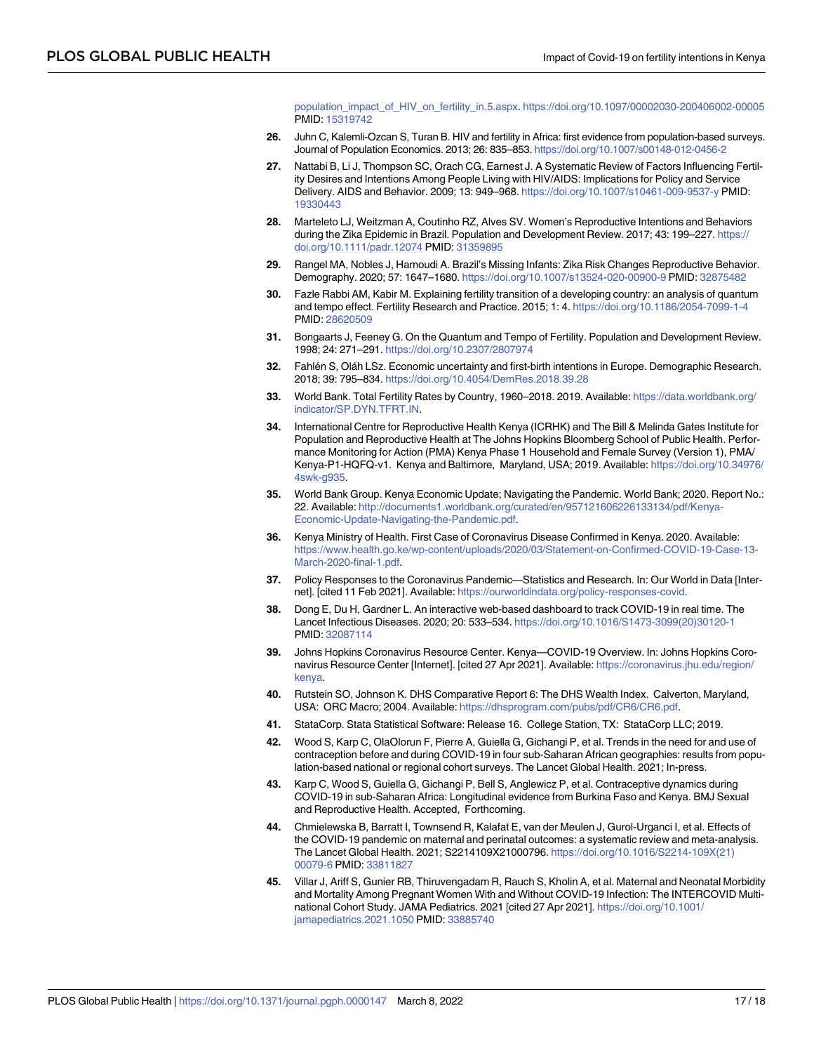[population\\_impact\\_of\\_HIV\\_on\\_fertility\\_in.5.aspx.](https://journals.lww.com/aidsonline/Fulltext/2004/06002/The_population_impact_of_HIV_on_fertility_in.5.aspx) <https://doi.org/10.1097/00002030-200406002-00005> PMID: [15319742](http://www.ncbi.nlm.nih.gov/pubmed/15319742)

- <span id="page-16-0"></span>**26.** Juhn C, Kalemli-Ozcan S, Turan B. HIV and fertility in Africa: first evidence from population-based surveys. Journal of Population Economics. 2013; 26: 835–853. <https://doi.org/10.1007/s00148-012-0456-2>
- **27.** Nattabi B, Li J, Thompson SC, Orach CG, Earnest J. A Systematic Review of Factors Influencing Fertility Desires and Intentions Among People Living with HIV/AIDS: Implications for Policy and Service Delivery. AIDS and Behavior. 2009; 13: 949–968. <https://doi.org/10.1007/s10461-009-9537-y> PMID: [19330443](http://www.ncbi.nlm.nih.gov/pubmed/19330443)
- **28.** Marteleto LJ, Weitzman A, Coutinho RZ, Alves SV. Women's Reproductive Intentions and Behaviors during the Zika Epidemic in Brazil. Population and Development Review. 2017; 43: 199-227. [https://](https://doi.org/10.1111/padr.12074) [doi.org/10.1111/padr.12074](https://doi.org/10.1111/padr.12074) PMID: [31359895](http://www.ncbi.nlm.nih.gov/pubmed/31359895)
- **[29](#page-1-0).** Rangel MA, Nobles J, Hamoudi A. Brazil's Missing Infants: Zika Risk Changes Reproductive Behavior. Demography. 2020; 57: 1647–1680. <https://doi.org/10.1007/s13524-020-00900-9> PMID: [32875482](http://www.ncbi.nlm.nih.gov/pubmed/32875482)
- **[30](#page-1-0).** Fazle Rabbi AM, Kabir M. Explaining fertility transition of a developing country: an analysis of quantum and tempo effect. Fertility Research and Practice. 2015; 1: 4. <https://doi.org/10.1186/2054-7099-1-4> PMID: [28620509](http://www.ncbi.nlm.nih.gov/pubmed/28620509)
- **[31](#page-1-0).** Bongaarts J, Feeney G. On the Quantum and Tempo of Fertility. Population and Development Review. 1998; 24: 271–291. <https://doi.org/10.2307/2807974>
- **[32](#page-2-0).** Fahle´n S, Ola´h LSz. Economic uncertainty and first-birth intentions in Europe. Demographic Research. 2018; 39: 795–834. <https://doi.org/10.4054/DemRes.2018.39.28>
- **[33](#page-3-0).** World Bank. Total Fertility Rates by Country, 1960–2018. 2019. Available: [https://data.worldbank.org/](https://data.worldbank.org/indicator/SP.DYN.TFRT.IN) [indicator/SP.DYN.TFRT.IN](https://data.worldbank.org/indicator/SP.DYN.TFRT.IN).
- **[34](#page-3-0).** International Centre for Reproductive Health Kenya (ICRHK) and The Bill & Melinda Gates Institute for Population and Reproductive Health at The Johns Hopkins Bloomberg School of Public Health. Performance Monitoring for Action (PMA) Kenya Phase 1 Household and Female Survey (Version 1), PMA/ Kenya-P1-HQFQ-v1. Kenya and Baltimore, Maryland, USA; 2019. Available: [https://doi.org/10.34976/](https://doi.org/10.34976/4swk-g935) [4swk-g935.](https://doi.org/10.34976/4swk-g935)
- **[35](#page-11-0).** World Bank Group. Kenya Economic Update; Navigating the Pandemic. World Bank; 2020. Report No.: 22. Available: [http://documents1.worldbank.org/curated/en/957121606226133134/pdf/Kenya-](http://documents1.worldbank.org/curated/en/957121606226133134/pdf/Kenya-Economic-Update-Navigating-the-Pandemic.pdf)[Economic-Update-Navigating-the-Pandemic.pdf](http://documents1.worldbank.org/curated/en/957121606226133134/pdf/Kenya-Economic-Update-Navigating-the-Pandemic.pdf).
- **[36](#page-3-0).** Kenya Ministry of Health. First Case of Coronavirus Disease Confirmed in Kenya. 2020. Available: [https://www.health.go.ke/wp-content/uploads/2020/03/Statement-on-Confirmed-COVID-19-Case-13-](https://www.health.go.ke/wp-content/uploads/2020/03/Statement-on-Confirmed-COVID-19-Case-13-March-2020-final-1.pdf) [March-2020-final-1.pdf.](https://www.health.go.ke/wp-content/uploads/2020/03/Statement-on-Confirmed-COVID-19-Case-13-March-2020-final-1.pdf)
- **[37](#page-3-0).** Policy Responses to the Coronavirus Pandemic—Statistics and Research. In: Our World in Data [Internet]. [cited 11 Feb 2021]. Available: <https://ourworldindata.org/policy-responses-covid>.
- **[38](#page-3-0).** Dong E, Du H, Gardner L. An interactive web-based dashboard to track COVID-19 in real time. The Lancet Infectious Diseases. 2020; 20: 533–534. [https://doi.org/10.1016/S1473-3099\(20\)30120-1](https://doi.org/10.1016/S1473-3099%2820%2930120-1) PMID: [32087114](http://www.ncbi.nlm.nih.gov/pubmed/32087114)
- **[39](#page-3-0).** Johns Hopkins Coronavirus Resource Center. Kenya—COVID-19 Overview. In: Johns Hopkins Coronavirus Resource Center [Internet]. [cited 27 Apr 2021]. Available: [https://coronavirus.jhu.edu/region/](https://coronavirus.jhu.edu/region/kenya) [kenya](https://coronavirus.jhu.edu/region/kenya).
- **[40](#page-6-0).** Rutstein SO, Johnson K. DHS Comparative Report 6: The DHS Wealth Index. Calverton, Maryland, USA: ORC Macro; 2004. Available: <https://dhsprogram.com/pubs/pdf/CR6/CR6.pdf>.
- **[41](#page-7-0).** StataCorp. Stata Statistical Software: Release 16. College Station, TX: StataCorp LLC; 2019.
- **[42](#page-12-0).** Wood S, Karp C, OlaOlorun F, Pierre A, Guiella G, Gichangi P, et al. Trends in the need for and use of contraception before and during COVID-19 in four sub-Saharan African geographies: results from population-based national or regional cohort surveys. The Lancet Global Health. 2021; In-press.
- **[43](#page-12-0).** Karp C, Wood S, Guiella G, Gichangi P, Bell S, Anglewicz P, et al. Contraceptive dynamics during COVID-19 in sub-Saharan Africa: Longitudinal evidence from Burkina Faso and Kenya. BMJ Sexual and Reproductive Health. Accepted, Forthcoming.
- **[44](#page-12-0).** Chmielewska B, Barratt I, Townsend R, Kalafat E, van der Meulen J, Gurol-Urganci I, et al. Effects of the COVID-19 pandemic on maternal and perinatal outcomes: a systematic review and meta-analysis. The Lancet Global Health. 2021; S2214109X21000796. [https://doi.org/10.1016/S2214-109X\(21\)](https://doi.org/10.1016/S2214-109X%2821%2900079-6) [00079-6](https://doi.org/10.1016/S2214-109X%2821%2900079-6) PMID: [33811827](http://www.ncbi.nlm.nih.gov/pubmed/33811827)
- **[45](#page-12-0).** Villar J, Ariff S, Gunier RB, Thiruvengadam R, Rauch S, Kholin A, et al. Maternal and Neonatal Morbidity and Mortality Among Pregnant Women With and Without COVID-19 Infection: The INTERCOVID Multinational Cohort Study. JAMA Pediatrics. 2021 [cited 27 Apr 2021]. [https://doi.org/10.1001/](https://doi.org/10.1001/jamapediatrics.2021.1050) [jamapediatrics.2021.1050](https://doi.org/10.1001/jamapediatrics.2021.1050) PMID: [33885740](http://www.ncbi.nlm.nih.gov/pubmed/33885740)